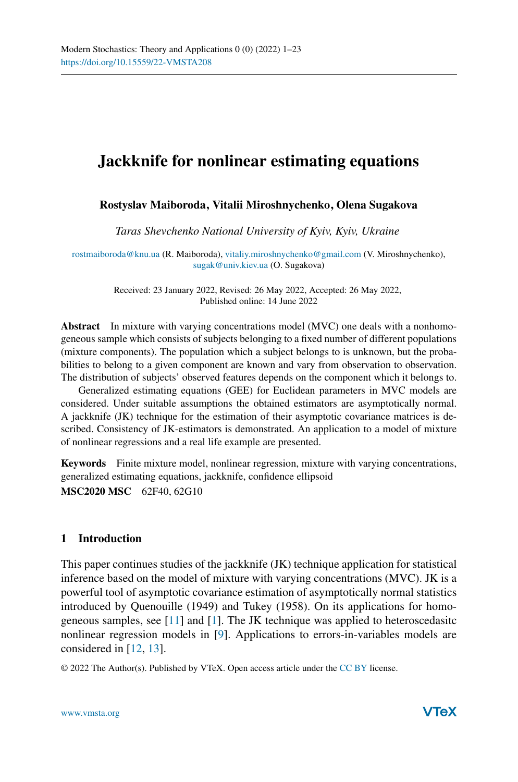# **Jackknife for nonlinear estimating equations**

## **Rostyslav Maiboroda, Vitalii Miroshnychenko, Olena Sugakova**

*Taras Shevchenko National University of Kyiv, Kyiv, Ukraine*

[rostmaiboroda@knu.ua](mailto:rostmaiboroda@knu.ua) (R. Maiboroda), [vitaliy.miroshnychenko@gmail.com](mailto:vitaliy.miroshnychenko@gmail.com) (V. Miroshnychenko), [sugak@univ.kiev.ua](mailto:sugak@univ.kiev.ua) (O. Sugakova)

> Received: 23 January 2022, Revised: 26 May 2022, Accepted: 26 May 2022, Published online: 14 June 2022

**Abstract** In mixture with varying concentrations model (MVC) one deals with a nonhomogeneous sample which consists of subjects belonging to a fixed number of different populations (mixture components). The population which a subject belongs to is unknown, but the probabilities to belong to a given component are known and vary from observation to observation. The distribution of subjects' observed features depends on the component which it belongs to.

Generalized estimating equations (GEE) for Euclidean parameters in MVC models are considered. Under suitable assumptions the obtained estimators are asymptotically normal. A jackknife (JK) technique for the estimation of their asymptotic covariance matrices is described. Consistency of JK-estimators is demonstrated. An application to a model of mixture of nonlinear regressions and a real life example are presented.

**Keywords** Finite mixture model, nonlinear regression, mixture with varying concentrations, generalized estimating equations, jackknife, confidence ellipsoid **MSC2020 MSC** 62F40, 62G10

#### **1 Introduction**

This paper continues studies of the jackknife (JK) technique application for statistical inference based on the model of mixture with varying concentrations (MVC). JK is a powerful tool of asymptotic covariance estimation of asymptotically normal statistics introduced by Quenouille (1949) and Tukey (1958). On its applications for homogeneous samples, see [\[11](#page-22-0)] and [\[1](#page-21-0)]. The JK technique was applied to heteroscedasitc nonlinear regression models in [\[9\]](#page-22-1). Applications to errors-in-variables models are considered in [\[12](#page-22-2), [13\]](#page-22-3).

© 2022 The Author(s). Published by VTeX. Open access article under the [CC BY](http://creativecommons.org/licenses/by/4.0/) license.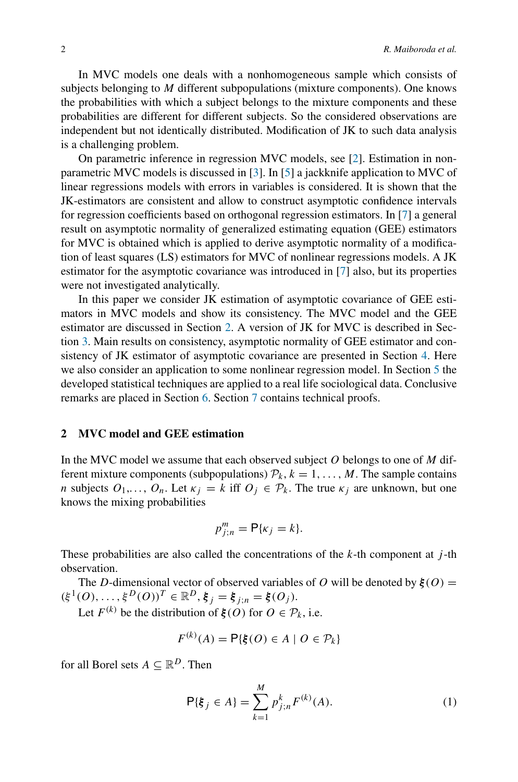In MVC models one deals with a nonhomogeneous sample which consists of subjects belonging to *M* different subpopulations (mixture components). One knows the probabilities with which a subject belongs to the mixture components and these probabilities are different for different subjects. So the considered observations are independent but not identically distributed. Modification of JK to such data analysis is a challenging problem.

On parametric inference in regression MVC models, see [\[2](#page-21-1)]. Estimation in nonparametric MVC models is discussed in [\[3\]](#page-21-2). In [\[5\]](#page-21-3) a jackknife application to MVC of linear regressions models with errors in variables is considered. It is shown that the JK-estimators are consistent and allow to construct asymptotic confidence intervals for regression coefficients based on orthogonal regression estimators. In [\[7](#page-22-4)] a general result on asymptotic normality of generalized estimating equation (GEE) estimators for MVC is obtained which is applied to derive asymptotic normality of a modification of least squares (LS) estimators for MVC of nonlinear regressions models. A JK estimator for the asymptotic covariance was introduced in [\[7\]](#page-22-4) also, but its properties were not investigated analytically.

In this paper we consider JK estimation of asymptotic covariance of GEE estimators in MVC models and show its consistency. The MVC model and the GEE estimator are discussed in Section [2.](#page-1-0) A version of JK for MVC is described in Section [3.](#page-3-0) Main results on consistency, asymptotic normality of GEE estimator and consistency of JK estimator of asymptotic covariance are presented in Section [4.](#page-4-0) Here we also consider an application to some nonlinear regression model. In Section [5](#page-8-0) the developed statistical techniques are applied to a real life sociological data. Conclusive remarks are placed in Section [6.](#page-10-0) Section [7](#page-10-1) contains technical proofs.

# <span id="page-1-0"></span>**2 MVC model and GEE estimation**

In the MVC model we assume that each observed subject *O* belongs to one of *M* different mixture components (subpopulations)  $\mathcal{P}_k$ ,  $k = 1, \ldots, M$ . The sample contains *n* subjects  $O_1, \ldots, O_n$ . Let  $\kappa_i = k$  iff  $O_i \in \mathcal{P}_k$ . The true  $\kappa_i$  are unknown, but one knows the mixing probabilities

$$
p_{j;n}^m = \mathsf{P}\{\kappa_j = k\}.
$$

These probabilities are also called the concentrations of the *k*-th component at *j* -th observation.

The *D*-dimensional vector of observed variables of *O* will be denoted by  $\xi$  (*O*) =  $(\xi^1(0), \ldots, \xi^D(0))^T \in \mathbb{R}^D, \xi_j = \xi_{j;n} = \xi(0_j).$ 

Let  $F^{(k)}$  be the distribution of  $\xi(O)$  for  $O \in \mathcal{P}_k$ , i.e.

$$
F^{(k)}(A) = \mathsf{P}\{\xi(O) \in A \mid O \in \mathcal{P}_k\}
$$

for all Borel sets  $A \subseteq \mathbb{R}^D$ . Then

<span id="page-1-1"></span>
$$
\mathsf{P}\{\xi_j \in A\} = \sum_{k=1}^{M} p_{j;n}^k F^{(k)}(A). \tag{1}
$$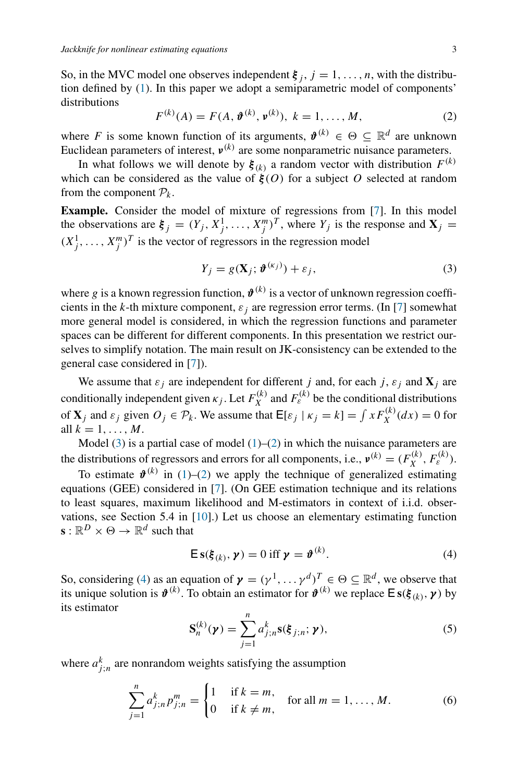So, in the MVC model one observes independent  $\xi_j$ ,  $j = 1, \ldots, n$ , with the distribution defined by [\(1\)](#page-1-1). In this paper we adopt a semiparametric model of components' distributions

<span id="page-2-1"></span>
$$
F^{(k)}(A) = F(A, \mathbf{\hat{v}}^{(k)}, \mathbf{\nu}^{(k)}), \ k = 1, ..., M,
$$
 (2)

where *F* is some known function of its arguments,  $\mathbf{\vartheta}^{(k)} \in \Theta \subseteq \mathbb{R}^d$  are unknown Euclidean parameters of interest, *ν(k)* are some nonparametric nuisance parameters.

In what follows we will denote by  $\xi_{(k)}$  a random vector with distribution  $F^{(k)}$ which can be considered as the value of  $\mathbf{\hat{f}}(O)$  for a subject *O* selected at random from the component  $P_k$ .

**Example.** Consider the model of mixture of regressions from [\[7\]](#page-22-4). In this model the observations are  $\xi_j = (Y_j, X_j^1, \ldots, X_j^m)^T$ , where  $Y_j$  is the response and  $X_j =$  $(X_j^1, \ldots, X_j^m)^T$  is the vector of regressors in the regression model

<span id="page-2-0"></span>
$$
Y_j = g(\mathbf{X}_j; \boldsymbol{\vartheta}^{(\kappa_j)}) + \varepsilon_j,
$$
\n(3)

where *g* is a known regression function,  $\mathbf{\hat{v}}^{(k)}$  is a vector of unknown regression coefficients in the *k*-th mixture component,  $\varepsilon_i$  are regression error terms. (In [\[7](#page-22-4)] somewhat more general model is considered, in which the regression functions and parameter spaces can be different for different components. In this presentation we restrict ourselves to simplify notation. The main result on JK-consistency can be extended to the general case considered in [\[7](#page-22-4)]).

We assume that  $\varepsilon_j$  are independent for different *j* and, for each *j*,  $\varepsilon_j$  and  $\mathbf{X}_j$  are conditionally independent given  $\kappa_j$ . Let  $F_X^{(k)}$  and  $F_\varepsilon^{(k)}$  be the conditional distributions of **X**<sub>*j*</sub> and  $\varepsilon_j$  given  $O_j \in \mathcal{P}_k$ . We assume that  $\mathsf{E}[\varepsilon_j | \kappa_j = k] = \int x F_X^{(k)}(dx) = 0$  for all  $k = 1, ..., M$ .

Model  $(3)$  is a partial case of model  $(1)$ – $(2)$  in which the nuisance parameters are the distributions of regressors and errors for all components, i.e.,  $v^{(k)} = (F_X^{(k)}, F_\varepsilon^{(k)})$ .

To estimate  $\mathbf{\hat{v}}^{(k)}$  in [\(1\)](#page-1-1)–[\(2\)](#page-2-1) we apply the technique of generalized estimating equations (GEE) considered in [\[7\]](#page-22-4). (On GEE estimation technique and its relations to least squares, maximum likelihood and M-estimators in context of i.i.d. observations, see Section 5.4 in [\[10\]](#page-22-5).) Let us choose an elementary estimating function  $\mathbf{s}: \mathbb{R}^D \times \Theta \to \mathbb{R}^d$  such that

<span id="page-2-2"></span>
$$
\mathsf{E}\,\mathbf{s}(\boldsymbol{\xi}_{(k)},\,\boldsymbol{\gamma})=0\,\,\mathrm{iff}\,\,\boldsymbol{\gamma}=\boldsymbol{\vartheta}^{(k)}.\tag{4}
$$

So, considering [\(4\)](#page-2-2) as an equation of  $\boldsymbol{\gamma} = (\gamma^1, \dots, \gamma^d)^T \in \Theta \subseteq \mathbb{R}^d$ , we observe that its unique solution is  $\mathbf{\hat{v}}^{(k)}$ . To obtain an estimator for  $\mathbf{\hat{v}}^{(k)}$  we replace  $\mathbf{E}$  **s**( $\mathbf{\hat{f}}_{(k)}$ ,  $\mathbf{\gamma}$ ) by its estimator

$$
\mathbf{S}_n^{(k)}(\boldsymbol{\gamma}) = \sum_{j=1}^n a_{j;n}^k \mathbf{s}(\boldsymbol{\xi}_{j;n}; \boldsymbol{\gamma}), \qquad (5)
$$

where  $a_{j;n}^k$  are nonrandom weights satisfying the assumption

<span id="page-2-3"></span>
$$
\sum_{j=1}^{n} a_{j;n}^{k} p_{j;n}^{m} = \begin{cases} 1 & \text{if } k = m, \\ 0 & \text{if } k \neq m, \end{cases} \text{ for all } m = 1, ..., M. \tag{6}
$$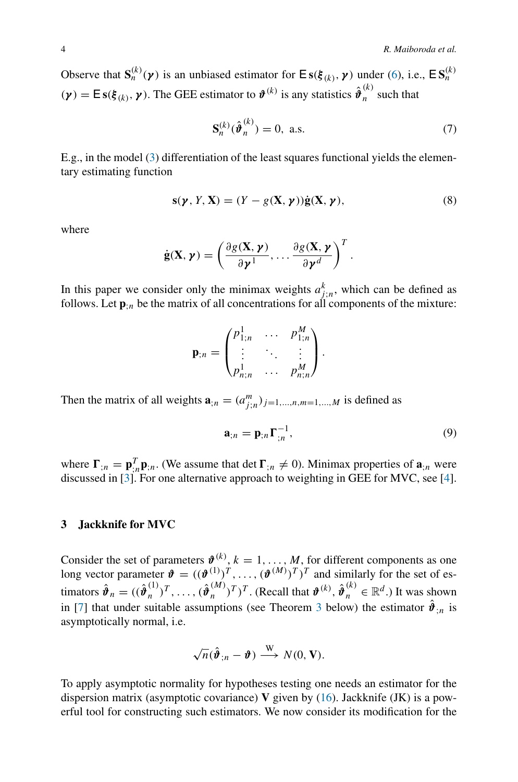Observe that  $S_n^{(k)}(\gamma)$  is an unbiased estimator for  $Es(\xi_{(k)}, \gamma)$  under [\(6\)](#page-2-3), i.e.,  $ES_n^{(k)}$  $(\gamma) = \mathsf{E} s(\xi_{(k)}, \gamma)$ . The GEE estimator to  $\boldsymbol{\vartheta}^{(k)}$  is any statistics  $\hat{\boldsymbol{\vartheta}}_n^{(k)}$  such that

$$
\mathbf{S}_n^{(k)}(\hat{\boldsymbol{\vartheta}}_n^{(k)}) = 0, \text{ a.s.}
$$
 (7)

*.*

E.g., in the model [\(3\)](#page-2-0) differentiation of the least squares functional yields the elementary estimating function

<span id="page-3-1"></span>
$$
\mathbf{s}(\boldsymbol{\gamma}, Y, \mathbf{X}) = (Y - g(\mathbf{X}, \boldsymbol{\gamma}))\dot{\mathbf{g}}(\mathbf{X}, \boldsymbol{\gamma}),
$$
\n(8)

where

$$
\dot{\mathbf{g}}(\mathbf{X}, \boldsymbol{\gamma}) = \left(\frac{\partial g(\mathbf{X}, \boldsymbol{\gamma})}{\partial \boldsymbol{\gamma}^1}, \dots, \frac{\partial g(\mathbf{X}, \boldsymbol{\gamma})}{\partial \boldsymbol{\gamma}^d}\right)^T
$$

In this paper we consider only the minimax weights  $a_{j;n}^k$ , which can be defined as follows. Let  $\mathbf{p}_{:n}$  be the matrix of all concentrations for all components of the mixture:

$$
\mathbf{p}_{;n} = \begin{pmatrix} p_{1;n}^1 & \cdots & p_{1;n}^M \\ \vdots & \ddots & \vdots \\ p_{n;n}^1 & \cdots & p_{n;n}^M \end{pmatrix}.
$$

Then the matrix of all weights  $\mathbf{a}_{;n} = (a_{j;n}^m)_{j=1,\dots,n,m=1,\dots,M}$  is defined as

$$
\mathbf{a}_{;n} = \mathbf{p}_{;n} \Gamma_{;n}^{-1},\tag{9}
$$

where  $\mathbf{\Gamma}_{;n} = \mathbf{p}_{;n}^T \mathbf{p}_{;n}$ . (We assume that det  $\mathbf{\Gamma}_{;n} \neq 0$ ). Minimax properties of  $\mathbf{a}_{;n}$  were discussed in [\[3\]](#page-21-2). For one alternative approach to weighting in GEE for MVC, see [\[4](#page-21-4)].

#### <span id="page-3-0"></span>**3 Jackknife for MVC**

Consider the set of parameters  $\boldsymbol{\vartheta}^{(k)}$ ,  $k = 1, \ldots, M$ , for different components as one long vector parameter  $\mathbf{\hat{v}} = ((\mathbf{\hat{v}}^{(1)})^T, \dots, (\mathbf{\hat{v}}^{(M)})^T)^T$  and similarly for the set of estimators  $\hat{\boldsymbol{\vartheta}}_n = ((\hat{\boldsymbol{\vartheta}}_n^{(1)})^T, \dots, (\hat{\boldsymbol{\vartheta}}_n^{(M)})^T)^T$ . (Recall that  $\boldsymbol{\vartheta}^{(k)}, \hat{\boldsymbol{\vartheta}}_n^{(k)} \in \mathbb{R}^d$ .) It was shown in [\[7](#page-22-4)] that under suitable assumptions (see Theorem [3](#page-6-0) below) the estimator  $\hat{\boldsymbol{\theta}}_{:n}$  is asymptotically normal, i.e.

$$
\sqrt{n}(\hat{\boldsymbol{\vartheta}}_{;n}-\boldsymbol{\vartheta})\stackrel{\mathrm{W}}{\longrightarrow}N(0,\mathbf{V}).
$$

To apply asymptotic normality for hypotheses testing one needs an estimator for the dispersion matrix (asymptotic covariance) **V** given by [\(16\)](#page-6-1). Jackknife (JK) is a powerful tool for constructing such estimators. We now consider its modification for the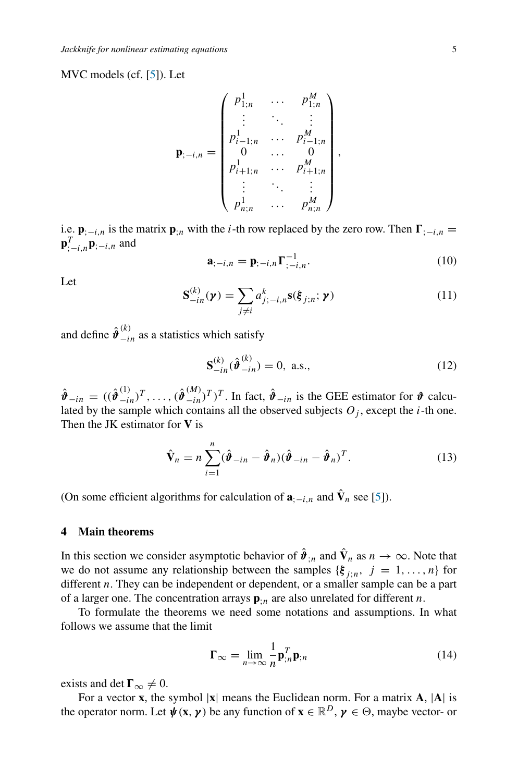MVC models (cf. [\[5\]](#page-21-3)). Let

$$
\mathbf{p}_{;-i,n} = \begin{pmatrix} p_{1;n}^1 & \cdots & p_{1;n}^M \\ \vdots & \ddots & \vdots \\ p_{i-1;n}^1 & \cdots & p_{i-1;n}^M \\ 0 & \cdots & 0 \\ p_{i+1;n}^1 & \cdots & p_{i+1;n}^M \\ \vdots & \ddots & \vdots \\ p_{n;n}^1 & \cdots & p_{n;n}^M \end{pmatrix},
$$

i.e.  $\mathbf{p}_{i-i,n}$  is the matrix  $\mathbf{p}_{i,n}$  with the *i*-th row replaced by the zero row. Then  $\mathbf{\Gamma}_{i-i,n} =$ **p***T* ;−*i,n***p**;−*i,n* and

$$
\mathbf{a}_{;-i,n} = \mathbf{p}_{;-i,n} \Gamma_{;-i,n}^{-1}.
$$
 (10)

Let

$$
\mathbf{S}_{-in}^{(k)}(\boldsymbol{\gamma}) = \sum_{j \neq i} a_{j;-i,n}^k \mathbf{s}(\boldsymbol{\xi}_{j;n}; \boldsymbol{\gamma})
$$
(11)

and define  $\hat{\boldsymbol{\vartheta}}^{(k)}_{-in}$  as a statistics which satisfy

$$
\mathbf{S}_{-in}^{(k)}(\hat{\boldsymbol{\vartheta}}_{-in}^{(k)}) = 0, \text{ a.s.}, \tag{12}
$$

 $\hat{\boldsymbol{\theta}}_{-in} = ((\hat{\boldsymbol{\theta}}_{-in}^{(1)})^T, \dots, (\hat{\boldsymbol{\theta}}_{-in}^{(M)})^T)^T$ . In fact,  $\hat{\boldsymbol{\theta}}_{-in}$  is the GEE estimator for  $\boldsymbol{\theta}$  calculated by the sample which contains all the observed subjects  $O_i$ , except the *i*-th one. Then the JK estimator for **V** is

$$
\hat{\mathbf{V}}_n = n \sum_{i=1}^n (\hat{\boldsymbol{\vartheta}}_{-in} - \hat{\boldsymbol{\vartheta}}_n)(\hat{\boldsymbol{\vartheta}}_{-in} - \hat{\boldsymbol{\vartheta}}_n)^T.
$$
\n(13)

(On some efficient algorithms for calculation of  $\mathbf{a}_{;-i,n}$  and  $\hat{\mathbf{V}}_n$  see [\[5\]](#page-21-3)).

## <span id="page-4-0"></span>**4 Main theorems**

In this section we consider asymptotic behavior of  $\hat{\boldsymbol{\theta}}_{;n}$  and  $\hat{\mathbf{V}}_n$  as  $n \to \infty$ . Note that we do not assume any relationship between the samples  ${\{\xi_{j;n}, j = 1, ..., n\}}$  for different *n*. They can be independent or dependent, or a smaller sample can be a part of a larger one. The concentration arrays  $\mathbf{p}_{i,n}$  are also unrelated for different *n*.

To formulate the theorems we need some notations and assumptions. In what follows we assume that the limit

$$
\mathbf{\Gamma}_{\infty} = \lim_{n \to \infty} \frac{1}{n} \mathbf{p}_{;n}^T \mathbf{p}_{;n}
$$
 (14)

exists and det  $\Gamma_{\infty} \neq 0$ .

For a vector **x**, the symbol |**x**| means the Euclidean norm. For a matrix **A**, |**A**| is the operator norm. Let  $\psi$ (**x**,  $\gamma$ ) be any function of  $\mathbf{x} \in \mathbb{R}^D$ ,  $\gamma \in \Theta$ , maybe vector- or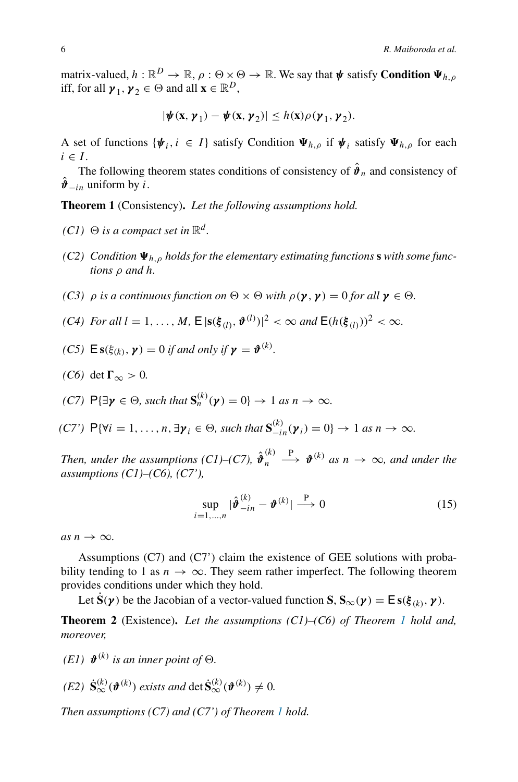matrix-valued,  $h : \mathbb{R}^D \to \mathbb{R}$ ,  $\rho : \Theta \times \Theta \to \mathbb{R}$ . We say that  $\psi$  satisfy **Condition**  $\Psi_{h,\rho}$ iff, for all  $\mathbf{y}_1, \mathbf{y}_2 \in \Theta$  and all  $\mathbf{x} \in \mathbb{R}^D$ ,

$$
|\boldsymbol{\psi}(\mathbf{x},\boldsymbol{\gamma}_1)-\boldsymbol{\psi}(\mathbf{x},\boldsymbol{\gamma}_2)|\leq h(\mathbf{x})\rho(\boldsymbol{\gamma}_1,\boldsymbol{\gamma}_2).
$$

A set of functions  $\{\psi_i, i \in I\}$  satisfy Condition  $\Psi_{h,o}$  if  $\psi_i$  satisfy  $\Psi_{h,o}$  for each  $i \in I$ .

The following theorem states conditions of consistency of  $\hat{\boldsymbol{\theta}}_n$  and consistency of  $\hat{\boldsymbol{\vartheta}}_{-i\eta}$  uniform by *i*.

<span id="page-5-0"></span>**Theorem 1** (Consistency)**.** *Let the following assumptions hold.*

- *(C1)*  $\Theta$  *is a compact set in*  $\mathbb{R}^d$ *.*
- *(C2) Condition h,ρ holds for the elementary estimating functions* **s** *with some functions ρ and h.*
- *(C3)*  $\rho$  *is a continuous function on*  $\Theta \times \Theta$  *with*  $\rho(\gamma, \gamma) = 0$  *for all*  $\gamma \in \Theta$ .
- *(C4) For all*  $l = 1, ..., M$ , **E**  $|\mathbf{s}(\xi_{(l)}, \boldsymbol{\vartheta}^{(l)})|^2 < \infty$  *and* **E**( $h(\xi_{(l)})^2 < \infty$ *.*
- *(C5)*  $\mathbf{E}$ **s** $(\xi_{(k)}, \mathbf{y}) = 0$  *if and only if*  $\mathbf{y} = \mathbf{\theta}^{(k)}$ *.*
- *(C6)* det  $\Gamma_{\infty} > 0$ .
- *(C7)*  $P\{\exists \gamma \in \Theta, \text{ such that } S_n^{(k)}(\gamma) = 0\} \to 1 \text{ as } n \to \infty.$
- $(C7')$   $P{\forall i = 1, ..., n, \exists \gamma_i \in \Theta, \text{ such that } S_{-in}^{(k)}(\gamma_i) = 0} \rightarrow 1 \text{ as } n \rightarrow \infty.$

*Then, under the assumptions (C1)–(C7),*  $\hat{\boldsymbol{\vartheta}}_n^{(k)} \stackrel{\text{P}}{\longrightarrow} \boldsymbol{\vartheta}^{(k)}$  *as*  $n \to \infty$ *, and under the assumptions (C1)–(C6), (C7'),*

<span id="page-5-1"></span>
$$
\sup_{i=1,\dots,n} |\hat{\boldsymbol{\vartheta}}_{-in}^{(k)} - \boldsymbol{\vartheta}^{(k)}| \stackrel{\text{P}}{\longrightarrow} 0
$$
 (15)

 $as n \rightarrow \infty$ .

Assumptions (C7) and (C7') claim the existence of GEE solutions with probability tending to 1 as  $n \to \infty$ . They seem rather imperfect. The following theorem provides conditions under which they hold.

Let **S** $({\bf y})$  be the Jacobian of a vector-valued function **S**,  ${\bf S}_{\infty}({\bf y}) = {\bf E} s({\bf \xi}_{(k)}, {\bf y})$ .

<span id="page-5-2"></span>**Theorem 2** (Existence)**.** *Let the assumptions (C1)–(C6) of Theorem [1](#page-5-0) hold and, moreover,*

*(E1)*  $\boldsymbol{\vartheta}^{(k)}$  *is an inner point of*  $\Theta$ *.* 

 $(E2)$   $\dot{\mathbf{S}}_{\infty}^{(k)}(\boldsymbol{\vartheta}^{(k)})$  *exists and* det  $\dot{\mathbf{S}}_{\infty}^{(k)}(\boldsymbol{\vartheta}^{(k)}) \neq 0$ .

*Then assumptions (C7) and (C7') of Theorem [1](#page-5-0) hold.*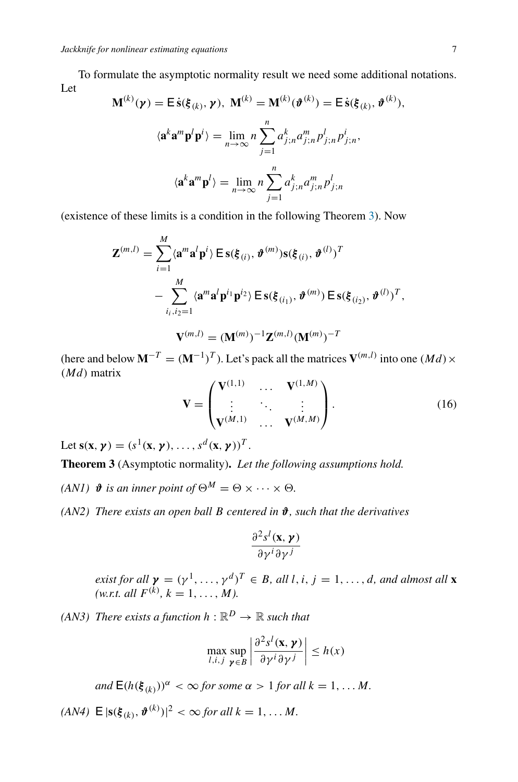To formulate the asymptotic normality result we need some additional notations. Let

$$
\mathbf{M}^{(k)}(\boldsymbol{\gamma}) = \mathsf{E}\,\dot{\mathbf{s}}(\boldsymbol{\xi}_{(k)},\boldsymbol{\gamma}), \ \mathbf{M}^{(k)} = \mathbf{M}^{(k)}(\boldsymbol{\vartheta}^{(k)}) = \mathsf{E}\,\dot{\mathbf{s}}(\boldsymbol{\xi}_{(k)},\boldsymbol{\vartheta}^{(k)}),
$$
\n
$$
\langle \mathbf{a}^k \mathbf{a}^m \mathbf{p}^l \mathbf{p}^i \rangle = \lim_{n \to \infty} n \sum_{j=1}^n a_{j,n}^k a_{j,n}^m p_{j,n}^l p_{j,n}^i,
$$
\n
$$
\langle \mathbf{a}^k \mathbf{a}^m \mathbf{p}^l \rangle = \lim_{n \to \infty} n \sum_{j=1}^n a_{j,n}^k a_{j,n}^m p_{j,n}^l
$$

(existence of these limits is a condition in the following Theorem [3\)](#page-6-0). Now

$$
\mathbf{Z}^{(m,l)} = \sum_{i=1}^{M} \langle \mathbf{a}^{m} \mathbf{a}^{l} \mathbf{p}^{i} \rangle \mathsf{E} \, \mathbf{s}(\boldsymbol{\xi}_{(i)}, \boldsymbol{\vartheta}^{(m)}) \mathbf{s}(\boldsymbol{\xi}_{(i)}, \boldsymbol{\vartheta}^{(l)})^{T}
$$
\n
$$
- \sum_{i_{i}, i_{2}=1}^{M} \langle \mathbf{a}^{m} \mathbf{a}^{l} \mathbf{p}^{i_{1}} \mathbf{p}^{i_{2}} \rangle \mathsf{E} \, \mathbf{s}(\boldsymbol{\xi}_{(i_{1})}, \boldsymbol{\vartheta}^{(m)}) \mathsf{E} \, \mathbf{s}(\boldsymbol{\xi}_{(i_{2})}, \boldsymbol{\vartheta}^{(l)})^{T},
$$
\n
$$
\mathbf{V}^{(m,l)} = (\mathbf{M}^{(m)})^{-1} \mathbf{Z}^{(m,l)} (\mathbf{M}^{(m)})^{-T}
$$

(here and below  $M^{-T} = (M^{-1})^T$ ). Let's pack all the matrices  $V^{(m,l)}$  into one  $Md) \times$ *(Md)* matrix

<span id="page-6-1"></span>
$$
\mathbf{V} = \begin{pmatrix} \mathbf{V}^{(1,1)} & \cdots & \mathbf{V}^{(1,M)} \\ \vdots & \ddots & \vdots \\ \mathbf{V}^{(M,1)} & \cdots & \mathbf{V}^{(M,M)} \end{pmatrix} .
$$
 (16)

Let  $\mathbf{s}(\mathbf{x}, \mathbf{y}) = (s^1(\mathbf{x}, \mathbf{y}), \dots, s^d(\mathbf{x}, \mathbf{y}))^T$ .

<span id="page-6-0"></span>**Theorem 3** (Asymptotic normality)**.** *Let the following assumptions hold.*

*(AN1)*  $\mathbf{\hat{\theta}}$  *is an inner point of*  $\Theta^M = \Theta \times \cdots \times \Theta$ *.* 

*(AN2) There exists an open ball B centered in ϑ, such that the derivatives*

$$
\frac{\partial^2 s^l(\mathbf{x}, \boldsymbol{\gamma})}{\partial \gamma^i \partial \gamma^j}
$$

*exist for all*  $\boldsymbol{\gamma} = (\gamma^1, \ldots, \gamma^d)^T \in B$ *, all l, i, j* = 1*,...,d, and almost all* **x**  $(w.r.t. \text{ all } F^{(k)}, k = 1, \ldots, M).$ 

*(AN3)* There exists a function  $h : \mathbb{R}^D \to \mathbb{R}$  such that

$$
\max_{l,i,j} \sup_{\boldsymbol{\gamma} \in B} \left| \frac{\partial^2 s^l(\mathbf{x}, \boldsymbol{\gamma})}{\partial \gamma^i \partial \gamma^j} \right| \le h(x)
$$

*and*  $\mathsf{E}(h(\xi_{(k)}))^{\alpha} < \infty$  *for some*  $\alpha > 1$  *for all*  $k = 1, \ldots M$ *.* 

*(AN4)*  $E |s(\xi_{(k)}, \theta^{(k)})|^2 < \infty$  *for all*  $k = 1, ..., M$ .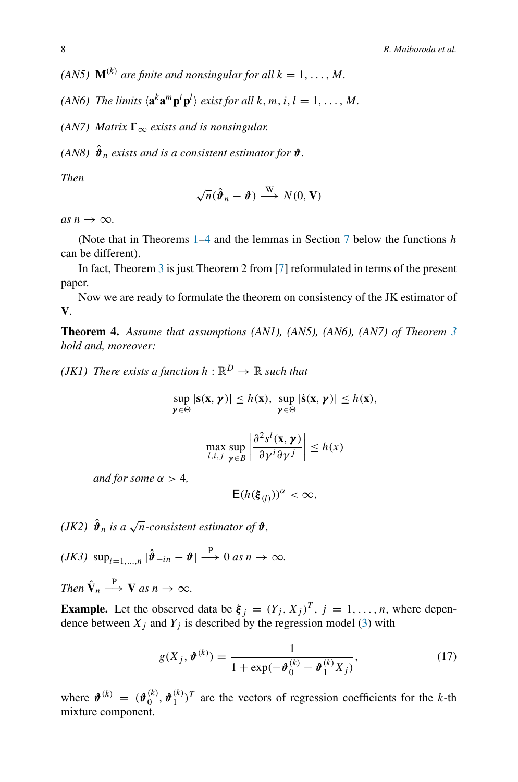*(AN5)*  $\mathbf{M}^{(k)}$  *are finite and nonsingular for all*  $k = 1, \ldots, M$ *.* 

*(AN6)* The limits  $\langle \mathbf{a}^k \mathbf{a}^m \mathbf{p}^i \mathbf{p}^l \rangle$  exist for all k, m, i,  $l = 1, ..., M$ .

*(AN7) Matrix*  $\Gamma_{\infty}$  *exists and is nonsingular.* 

*(AN8)*  $\hat{\theta}_n$  *exists and is a consistent estimator for*  $\hat{\theta}$ *.* 

*Then*

$$
\sqrt{n}(\hat{\boldsymbol{\vartheta}}_n - \boldsymbol{\vartheta}) \stackrel{\text{W}}{\longrightarrow} N(0, \mathbf{V})
$$

 $as n \rightarrow \infty$ .

(Note that in Theorems [1](#page-5-0)[–4](#page-7-0) and the lemmas in Section [7](#page-10-1) below the functions *h* can be different).

In fact, Theorem [3](#page-6-0) is just Theorem 2 from [\[7](#page-22-4)] reformulated in terms of the present paper.

Now we are ready to formulate the theorem on consistency of the JK estimator of **V**.

<span id="page-7-0"></span>**Theorem 4.** *Assume that assumptions (AN1), (AN5), (AN6), (AN7) of Theorem [3](#page-6-0) hold and, moreover:*

*(JK1)* There exists a function  $h : \mathbb{R}^D \to \mathbb{R}$  such that

$$
\sup_{\gamma \in \Theta} |s(x, \gamma)| \leq h(x), \sup_{\gamma \in \Theta} |\dot{s}(x, \gamma)| \leq h(x),
$$

$$
\max_{l,i,j} \sup_{\boldsymbol{\gamma} \in B} \left| \frac{\partial^2 s^l(\mathbf{x}, \boldsymbol{\gamma})}{\partial \gamma^i \partial \gamma^j} \right| \le h(x)
$$

*and for some α >* 4*,*

$$
\mathsf{E}(h(\xi_{(l)}))^{\alpha}<\infty,
$$

*(JK2)*  $\hat{\boldsymbol{\vartheta}}_n$  *is a*  $\sqrt{n}$ *-consistent estimator of*  $\boldsymbol{\vartheta}$ *,* 

 $(JK3)$  sup<sub>i=1</sub>,  $\hat{\mathbf{p}}$   $|\hat{\mathbf{\hat{v}}}_{-in} - \mathbf{\hat{v}}| \stackrel{\text{P}}{\longrightarrow} 0$  *as*  $n \to \infty$ .

*Then*  $\hat{\mathbf{V}}_n \stackrel{\text{P}}{\longrightarrow} \mathbf{V}$  *as*  $n \to \infty$ *.* 

**Example.** Let the observed data be  $\xi_j = (Y_j, X_j)^T$ ,  $j = 1, \ldots, n$ , where dependence between  $X_j$  and  $Y_j$  is described by the regression model [\(3\)](#page-2-0) with

$$
g(X_j, \boldsymbol{\vartheta}^{(k)}) = \frac{1}{1 + \exp(-\boldsymbol{\vartheta}_0^{(k)} - \boldsymbol{\vartheta}_1^{(k)} X_j)},
$$
(17)

where  $\mathbf{\hat{v}}^{(k)} = (\mathbf{\hat{v}}_0^{(k)}, \mathbf{\hat{v}}_1^{(k)})^T$  are the vectors of regression coefficients for the *k*-th mixture component.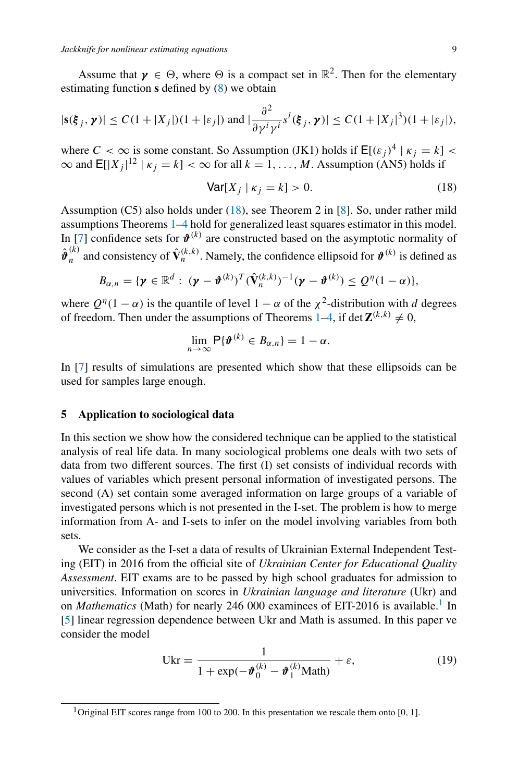Assume that  $\gamma \in \Theta$ , where  $\Theta$  is a compact set in  $\mathbb{R}^2$ . Then for the elementary estimating function **s** defined by [\(8\)](#page-3-1) we obtain

$$
|\mathbf{s}(\boldsymbol{\xi}_j,\boldsymbol{\gamma})| \le C(1+|X_j|)(1+|\varepsilon_j|) \text{ and } |\frac{\partial^2}{\partial \gamma^i \gamma^i} s^l(\boldsymbol{\xi}_j,\boldsymbol{\gamma})| \le C(1+|X_j|^3)(1+|\varepsilon_j|),
$$

where  $C < \infty$  is some constant. So Assumption (JK1) holds if  $E[(\varepsilon_j)^4 | \kappa_j = k]$  $\infty$  and  $\mathsf{E}[|X_j|^{12} | \kappa_j = k] < \infty$  for all  $k = 1, ..., M$ . Assumption (AN5) holds if

<span id="page-8-1"></span>
$$
\text{Var}[X_j \mid \kappa_j = k] > 0. \tag{18}
$$

Assumption (C5) also holds under [\(18\)](#page-8-1), see Theorem 2 in [\[8](#page-22-6)]. So, under rather mild assumptions Theorems [1](#page-5-0)[–4](#page-7-0) hold for generalized least squares estimator in this model. In [\[7](#page-22-4)] confidence sets for  $\mathbf{\hat{v}}^{(k)}$  are constructed based on the asymptotic normality of  $\hat{\boldsymbol{\vartheta}}_n^{(k)}$  and consistency of  $\hat{\mathbf{V}}_n^{(k,k)}$ . Namely, the confidence ellipsoid for  $\boldsymbol{\vartheta}^{(k)}$  is defined as

$$
B_{\alpha,n}=\{\boldsymbol{\gamma}\in\mathbb{R}^d:\;(\boldsymbol{\gamma}-\boldsymbol{\vartheta}^{(k)})^T(\hat{\mathbf{V}}_n^{(k,k)})^{-1}(\boldsymbol{\gamma}-\boldsymbol{\vartheta}^{(k)})\leq Q^{\eta}(1-\alpha)\},\;
$$

where  $Q^{\eta}(1 - \alpha)$  is the quantile of level  $1 - \alpha$  of the  $\chi^2$ -distribution with *d* degrees of freedom. Then under the assumptions of Theorems [1](#page-5-0)[–4,](#page-7-0) if det  $\mathbf{Z}^{(k,k)} \neq 0$ ,

$$
\lim_{n\to\infty}\mathsf{P}\{\boldsymbol{\vartheta}^{(k)}\in B_{\alpha,n}\}=1-\alpha.
$$

In [\[7\]](#page-22-4) results of simulations are presented which show that these ellipsoids can be used for samples large enough.

#### <span id="page-8-0"></span>**5 Application to sociological data**

In this section we show how the considered technique can be applied to the statistical analysis of real life data. In many sociological problems one deals with two sets of data from two different sources. The first (I) set consists of individual records with values of variables which present personal information of investigated persons. The second (A) set contain some averaged information on large groups of a variable of investigated persons which is not presented in the I-set. The problem is how to merge information from A- and I-sets to infer on the model involving variables from both sets.

We consider as the I-set a data of results of Ukrainian External Independent Testing (EIT) in 2016 from the official site of *Ukrainian Center for Educational Quality Assessment*. EIT exams are to be passed by high school graduates for admission to universities. Information on scores in *Ukrainian language and literature* (Ukr) and on *Mathematics* (Math) for nearly 246 000 examinees of EIT-2016 is available.<sup>1</sup> In [\[5](#page-21-3)] linear regression dependence between Ukr and Math is assumed. In this paper ve consider the model

$$
Ukr = \frac{1}{1 + \exp(-\vartheta_0^{(k)} - \vartheta_1^{(k)} \text{Math})} + \varepsilon,
$$
\n(19)

<span id="page-8-2"></span><sup>1</sup>Original EIT scores range from 100 to 200. In this presentation we rescale them onto [0*,* 1].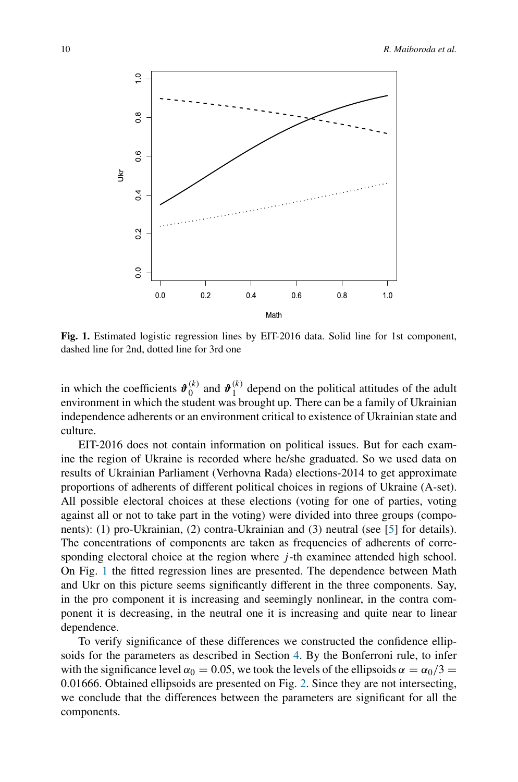<span id="page-9-0"></span>

**Fig. 1.** Estimated logistic regression lines by EIT-2016 data. Solid line for 1st component, dashed line for 2nd, dotted line for 3rd one

in which the coefficients  $\mathbf{\hat{v}}_0^{(k)}$  and  $\mathbf{\hat{v}}_1^{(k)}$  depend on the political attitudes of the adult environment in which the student was brought up. There can be a family of Ukrainian independence adherents or an environment critical to existence of Ukrainian state and culture.

EIT-2016 does not contain information on political issues. But for each examine the region of Ukraine is recorded where he/she graduated. So we used data on results of Ukrainian Parliament (Verhovna Rada) elections-2014 to get approximate proportions of adherents of different political choices in regions of Ukraine (A-set). All possible electoral choices at these elections (voting for one of parties, voting against all or not to take part in the voting) were divided into three groups (components): (1) pro-Ukrainian, (2) contra-Ukrainian and (3) neutral (see [\[5](#page-21-3)] for details). The concentrations of components are taken as frequencies of adherents of corresponding electoral choice at the region where *j*-th examinee attended high school. On Fig. [1](#page-9-0) the fitted regression lines are presented. The dependence between Math and Ukr on this picture seems significantly different in the three components. Say, in the pro component it is increasing and seemingly nonlinear, in the contra component it is decreasing, in the neutral one it is increasing and quite near to linear dependence.

To verify significance of these differences we constructed the confidence ellipsoids for the parameters as described in Section [4.](#page-4-0) By the Bonferroni rule, to infer with the significance level  $\alpha_0 = 0.05$ , we took the levels of the ellipsoids  $\alpha = \alpha_0/3$ 0*.*01666. Obtained ellipsoids are presented on Fig. [2.](#page-10-2) Since they are not intersecting, we conclude that the differences between the parameters are significant for all the components.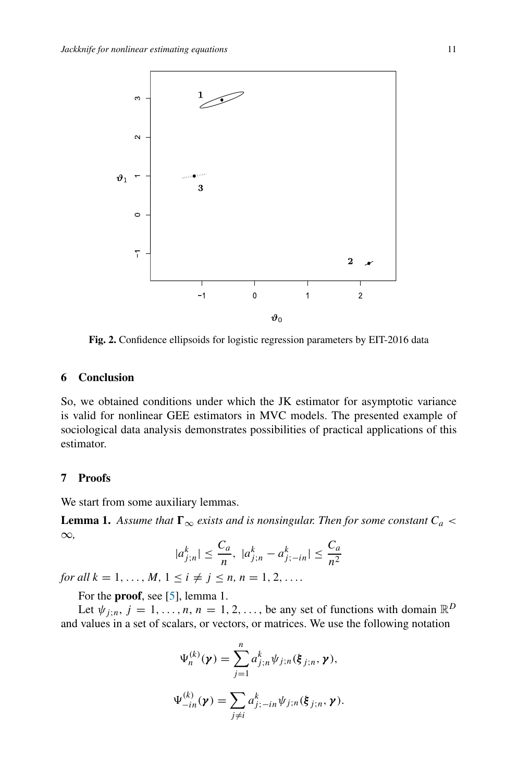<span id="page-10-2"></span>

**Fig. 2.** Confidence ellipsoids for logistic regression parameters by EIT-2016 data

# <span id="page-10-0"></span>**6 Conclusion**

So, we obtained conditions under which the JK estimator for asymptotic variance is valid for nonlinear GEE estimators in MVC models. The presented example of sociological data analysis demonstrates possibilities of practical applications of this estimator.

#### <span id="page-10-1"></span>**7 Proofs**

We start from some auxiliary lemmas.

<span id="page-10-3"></span>**Lemma 1.** Assume that  $\Gamma_{\infty}$  exists and is nonsingular. Then for some constant  $C_a$  < ∞*,*

$$
|a_{j;n}^k| \le \frac{C_a}{n}, \ |a_{j;n}^k - a_{j;-in}^k| \le \frac{C_a}{n^2}
$$

*for all*  $k = 1, ..., M, 1 \le i \ne j \le n, n = 1, 2, ...$ 

For the **proof**, see [\[5](#page-21-3)], lemma 1.

Let  $\psi_{j;n}$ ,  $j = 1, \ldots, n, n = 1, 2, \ldots$ , be any set of functions with domain  $\mathbb{R}^D$ and values in a set of scalars, or vectors, or matrices. We use the following notation

$$
\Psi_n^{(k)}(\boldsymbol{\gamma}) = \sum_{j=1}^n a_{j;n}^k \psi_{j;n}(\boldsymbol{\xi}_{j;n}, \boldsymbol{\gamma}),
$$
  

$$
\Psi_{-in}^{(k)}(\boldsymbol{\gamma}) = \sum_{j \neq i} a_{j;-in}^k \psi_{j;n}(\boldsymbol{\xi}_{j;n}, \boldsymbol{\gamma}).
$$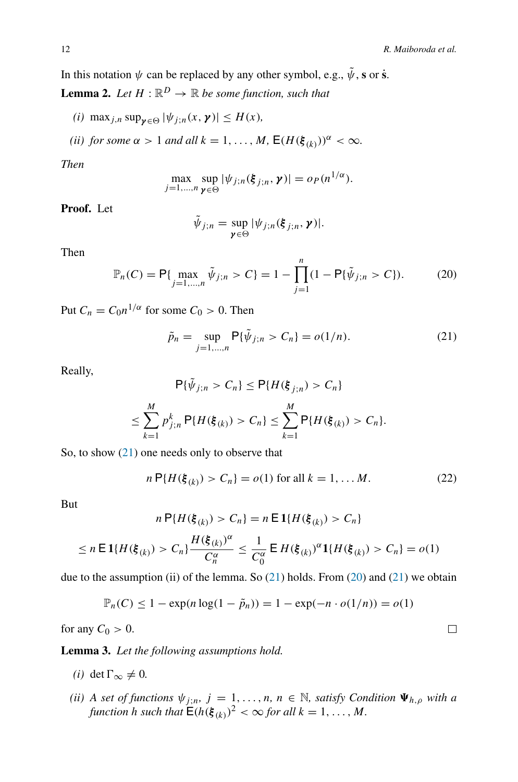In this notation  $\psi$  can be replaced by any other symbol, e.g.,  $\tilde{\psi}$ , s or **s**<sup> $\tilde{\mathbf{s}}$ .</sup>

<span id="page-11-3"></span>**Lemma 2.** Let  $H : \mathbb{R}^D \to \mathbb{R}$  be some function, such that

- $(i)$  max<sub>*j,n*</sub> sup<sub>*γ*∈ $\Theta$ </sub>  $|\psi_{j,n}(x, \gamma)| \leq H(x)$ *,*
- *(ii) for some*  $\alpha > 1$  *and all*  $k = 1, ..., M$ *,*  $E(H(\xi_{(k)}))^{\alpha} < \infty$ *.*

*Then*

$$
\max_{j=1,\ldots,n} \sup_{\boldsymbol{\gamma} \in \Theta} |\psi_{j;n}(\boldsymbol{\xi}_{j;n},\boldsymbol{\gamma})| = o_P(n^{1/\alpha}).
$$

**Proof.** Let

$$
\tilde{\psi}_{j;n} = \sup_{\mathbf{y} \in \Theta} |\psi_{j;n}(\xi_{j;n}, \mathbf{y})|.
$$

Then

<span id="page-11-1"></span>
$$
\mathbb{P}_n(C) = \mathsf{P}\{\max_{j=1,\dots,n} \tilde{\psi}_{j,n} > C\} = 1 - \prod_{j=1}^n (1 - \mathsf{P}\{\tilde{\psi}_{j,n} > C\}).
$$
 (20)

Put  $C_n = C_0 n^{1/\alpha}$  for some  $C_0 > 0$ . Then

<span id="page-11-0"></span>
$$
\tilde{p}_n = \sup_{j=1,\dots,n} \mathsf{P}\{\tilde{\psi}_{j,n} > C_n\} = o(1/n). \tag{21}
$$

Really,

$$
\mathsf{P}\{\tilde{\psi}_{j;n} > C_n\} \le \mathsf{P}\{H(\xi_{j;n}) > C_n\}
$$
\n
$$
\le \sum_{k=1}^M p_{j;n}^k \mathsf{P}\{H(\xi_{(k)}) > C_n\} \le \sum_{k=1}^M \mathsf{P}\{H(\xi_{(k)}) > C_n\}.
$$

So, to show [\(21\)](#page-11-0) one needs only to observe that

$$
n\,\mathsf{P}\{H(\xi_{(k)}) > C_n\} = o(1) \text{ for all } k = 1, \dots M. \tag{22}
$$

But

$$
n\,\mathsf{P}\{H(\xi_{(k)}) > C_n\} = n\,\mathsf{E}\,1\{H(\xi_{(k)}) > C_n\}
$$

$$
\leq n \, \mathsf{E} \, \mathbf{1} \{ H(\xi_{(k)}) > C_n \} \frac{H(\xi_{(k)})^{\alpha}}{C_n^{\alpha}} \leq \frac{1}{C_0^{\alpha}} \, \mathsf{E} \, H(\xi_{(k)})^{\alpha} \mathbf{1} \{ H(\xi_{(k)}) > C_n \} = o(1)
$$

due to the assumption (ii) of the lemma. So  $(21)$  holds. From  $(20)$  and  $(21)$  we obtain

$$
\mathbb{P}_n(C) \le 1 - \exp(n \log(1 - \tilde{p}_n)) = 1 - \exp(-n \cdot o(1/n)) = o(1)
$$

for any  $C_0 > 0$ .

<span id="page-11-2"></span>**Lemma 3.** *Let the following assumptions hold.*

- *(i)* det Γ $\infty$  ≠ 0*.*
- *(ii)* A set of functions  $\psi_{j,n}$ ,  $j = 1, \ldots, n$ ,  $n \in \mathbb{N}$ , satisfy Condition  $\Psi_{h,\rho}$  with a *function h such that*  $\mathbf{E}(h(\boldsymbol{\xi}_{(k)})^2 < \infty$  *for all*  $k = 1, \ldots, M$ *.*

 $\Box$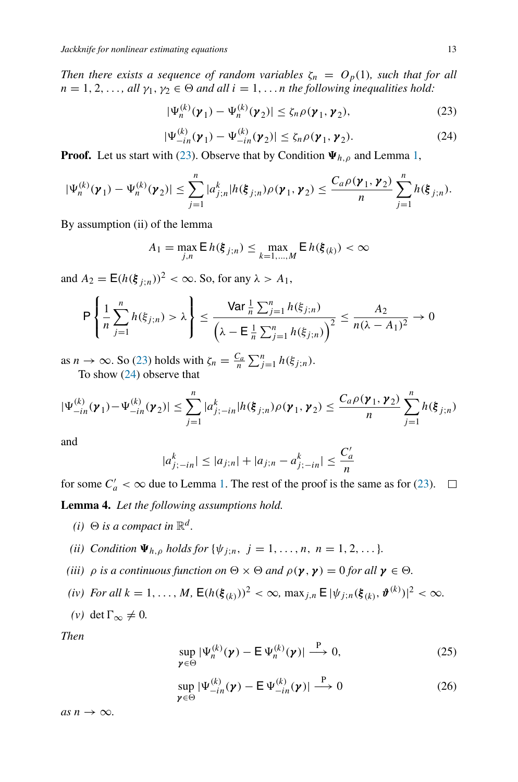*Then there exists a sequence of random variables*  $\zeta_n = O_p(1)$ *, such that for all*  $n = 1, 2, \ldots$ , all  $\gamma_1, \gamma_2 \in \Theta$  and all  $i = 1, \ldots n$  the following inequalities hold:

<span id="page-12-0"></span>
$$
|\Psi_n^{(k)}(\boldsymbol{\gamma}_1) - \Psi_n^{(k)}(\boldsymbol{\gamma}_2)| \le \zeta_n \rho(\boldsymbol{\gamma}_1, \boldsymbol{\gamma}_2),
$$
\n(23)

<span id="page-12-1"></span>
$$
|\Psi_{-in}^{(k)}(\boldsymbol{\gamma}_1) - \Psi_{-in}^{(k)}(\boldsymbol{\gamma}_2)| \le \zeta_n \rho(\boldsymbol{\gamma}_1, \boldsymbol{\gamma}_2). \tag{24}
$$

**Proof.** Let us start with [\(23\)](#page-12-0). Observe that by Condition  $\Psi_{h,\rho}$  and Lemma [1,](#page-10-3)

$$
|\Psi_n^{(k)}(\gamma_1) - \Psi_n^{(k)}(\gamma_2)| \leq \sum_{j=1}^n |a_{j;n}^k| h(\xi_{j;n}) \rho(\gamma_1, \gamma_2) \leq \frac{C_a \rho(\gamma_1, \gamma_2)}{n} \sum_{j=1}^n h(\xi_{j;n}).
$$

By assumption (ii) of the lemma

$$
A_1 = \max_{j,n} \mathsf{E} \, h(\xi_{j;n}) \le \max_{k=1,\ldots,M} \mathsf{E} \, h(\xi_{(k)}) < \infty
$$

and  $A_2 = E(h(\xi_{i:n}))^2 < \infty$ . So, for any  $\lambda > A_1$ ,

$$
\mathsf{P}\left\{\frac{1}{n}\sum_{j=1}^{n}h(\xi_{j;n})>\lambda\right\} \leq \frac{\mathsf{Var}\frac{1}{n}\sum_{j=1}^{n}h(\xi_{j;n})}{\left(\lambda-\mathsf{E}\frac{1}{n}\sum_{j=1}^{n}h(\xi_{j;n})\right)^{2}} \leq \frac{A_{2}}{n(\lambda-A_{1})^{2}} \to 0
$$

as  $n \to \infty$ . So [\(23\)](#page-12-0) holds with  $\zeta_n = \frac{C_a}{n} \sum_{j=1}^n h(\xi_{j;n})$ . To show [\(24\)](#page-12-1) observe that

$$
|\Psi_{-in}^{(k)}(\gamma_1) - \Psi_{-in}^{(k)}(\gamma_2)| \leq \sum_{j=1}^n |a_{j;-in}^k| h(\xi_{j;n}) \rho(\gamma_1, \gamma_2) \leq \frac{C_a \rho(\gamma_1, \gamma_2)}{n} \sum_{j=1}^n h(\xi_{j;n})
$$

and

$$
|a_{j;-in}^{k}| \le |a_{j;n}| + |a_{j;n} - a_{j;-in}^{k}| \le \frac{C_a'}{n}
$$

<span id="page-12-4"></span>for some  $C'_a < \infty$  due to Lemma [1.](#page-10-3) The rest of the proof is the same as for [\(23\)](#page-12-0). **Lemma 4.** *Let the following assumptions hold.*

- *(i)*  $\Theta$  *is a compact in*  $\mathbb{R}^d$ *.*
- *(ii) Condition*  $\Psi_{h,o}$  *holds for*  $\{\psi_{j:n}, j = 1, ..., n, n = 1, 2, ...\}$ .
- *(iii)*  $\rho$  *is a continuous function on*  $\Theta \times \Theta$  *and*  $\rho(\gamma, \gamma) = 0$  *for all*  $\gamma \in \Theta$ *.*
- *(iv) For all*  $k = 1, ..., M$ ,  $E(h(\xi_{(k)}))^2 < \infty$ ,  $\max_{j,n} E[\psi_{j,n}(\xi_{(k)}, \vartheta^{(k)})]^2 < \infty$ .
- *(v)* det Γ $\infty$  ≠ 0*.*

*Then*

<span id="page-12-2"></span>
$$
\sup_{\mathbf{\gamma}\in\Theta}|\Psi_n^{(k)}(\mathbf{\gamma})-\mathsf{E}\,\Psi_n^{(k)}(\mathbf{\gamma})|\xrightarrow{\mathsf{P}} 0,\tag{25}
$$

<span id="page-12-3"></span>
$$
\sup_{\mathbf{\gamma}\in\Theta}|\Psi_{-in}^{(k)}(\mathbf{\gamma})-\mathsf{E}\Psi_{-in}^{(k)}(\mathbf{\gamma})|\stackrel{\mathsf{P}}{\longrightarrow}0
$$
\n(26)

 $as n \rightarrow \infty$ .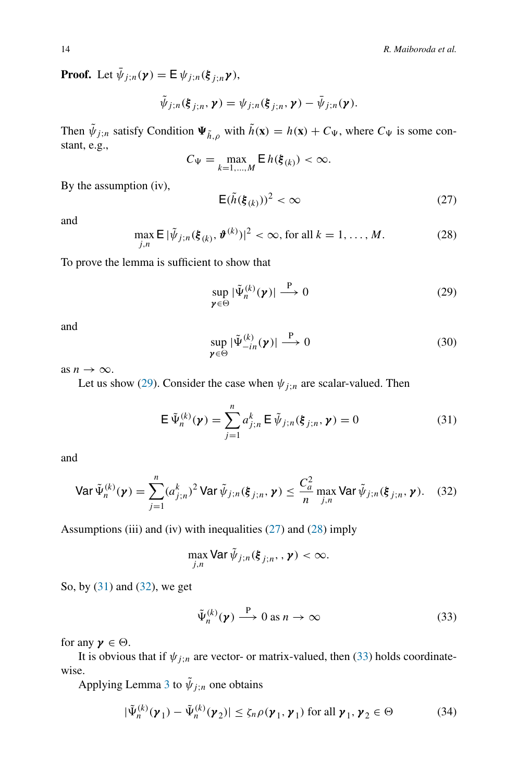**Proof.** Let  $\bar{\psi}_{j;n}(\gamma) = \mathbb{E} \psi_{j;n}(\xi_{j;n}\gamma)$ ,

$$
\tilde{\psi}_{j;n}(\xi_{j;n},\boldsymbol{\gamma})=\psi_{j;n}(\xi_{j;n},\boldsymbol{\gamma})-\bar{\psi}_{j;n}(\boldsymbol{\gamma}).
$$

Then  $\tilde{\psi}_{j,n}$  satisfy Condition  $\Psi_{\tilde{h},\rho}$  with  $\tilde{h}(\mathbf{x}) = h(\mathbf{x}) + C_{\Psi}$ , where  $C_{\Psi}$  is some constant, e.g.,

$$
C_{\Psi} = \max_{k=1,\dots,M} \mathsf{E}\, h(\boldsymbol{\xi}_{(k)}) < \infty.
$$

By the assumption (iv),

<span id="page-13-1"></span>
$$
\mathsf{E}(\tilde{h}(\xi_{(k)}))^2 < \infty \tag{27}
$$

and

<span id="page-13-2"></span>
$$
\max_{j,n} \mathsf{E} \, |\tilde{\psi}_{j,n}(\xi_{(k)}, \vartheta^{(k)})|^2 < \infty, \text{ for all } k = 1, \dots, M. \tag{28}
$$

To prove the lemma is sufficient to show that

<span id="page-13-0"></span>
$$
\sup_{\mathbf{\gamma}\in\Theta}|\tilde{\Psi}_n^{(k)}(\mathbf{\gamma})|\xrightarrow{\mathbf{P}}0\tag{29}
$$

and

$$
\sup_{\mathbf{\gamma}\in\Theta}|\tilde{\Psi}^{(k)}_{-in}(\mathbf{\gamma})|\xrightarrow{\mathbf{P}}0\tag{30}
$$

as  $n \to \infty$ .

Let us show [\(29\)](#page-13-0). Consider the case when  $\psi_{j;n}$  are scalar-valued. Then

<span id="page-13-3"></span>
$$
\mathsf{E}\,\tilde{\Psi}_n^{(k)}(\mathbf{y}) = \sum_{j=1}^n a_{j;n}^k \,\mathsf{E}\,\tilde{\psi}_{j;n}(\xi_{j;n},\mathbf{y}) = 0\tag{31}
$$

and

<span id="page-13-4"></span>
$$
\text{Var}\,\tilde{\Psi}_n^{(k)}(\boldsymbol{\gamma}) = \sum_{j=1}^n (a_{j;n}^k)^2 \text{Var}\,\tilde{\psi}_{j;n}(\boldsymbol{\xi}_{j;n},\boldsymbol{\gamma}) \le \frac{C_a^2}{n} \max_{j,n} \text{Var}\,\tilde{\psi}_{j;n}(\boldsymbol{\xi}_{j;n},\boldsymbol{\gamma}).\tag{32}
$$

Assumptions (iii) and (iv) with inequalities [\(27\)](#page-13-1) and [\(28\)](#page-13-2) imply

$$
\max_{j,n} \text{Var}\,\tilde{\psi}_{j;n}(\xi_{j;n},\mathbf{y}) < \infty.
$$

So, by [\(31\)](#page-13-3) and [\(32\)](#page-13-4), we get

<span id="page-13-5"></span>
$$
\tilde{\Psi}_n^{(k)}(\mathbf{y}) \stackrel{\mathbf{P}}{\longrightarrow} 0 \text{ as } n \to \infty \tag{33}
$$

for any  $\gamma \in \Theta$ .

It is obvious that if  $\psi_{j;n}$  are vector- or matrix-valued, then [\(33\)](#page-13-5) holds coordinatewise.

Applying Lemma [3](#page-11-2) to  $\tilde{\psi}_{j;n}$  one obtains

$$
|\tilde{\Psi}_n^{(k)}(\boldsymbol{\gamma}_1) - \tilde{\Psi}_n^{(k)}(\boldsymbol{\gamma}_2)| \le \zeta_n \rho(\boldsymbol{\gamma}_1, \boldsymbol{\gamma}_1) \text{ for all } \boldsymbol{\gamma}_1, \boldsymbol{\gamma}_2 \in \Theta
$$
 (34)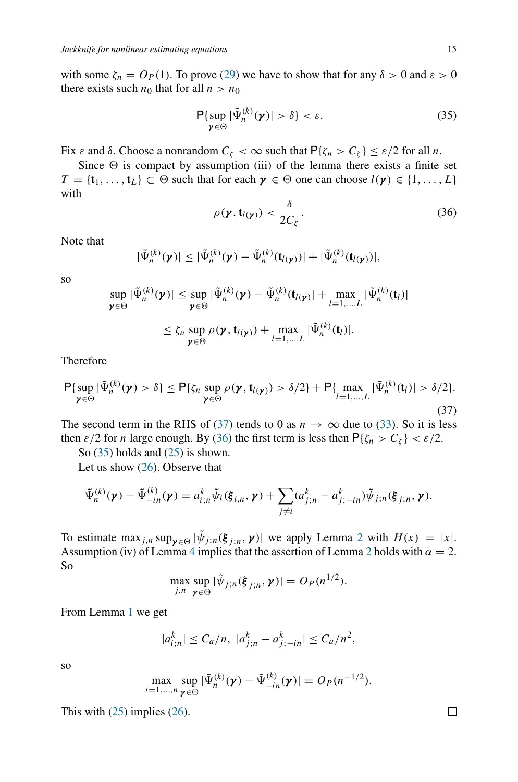with some  $\zeta_n = O_P(1)$ . To prove [\(29\)](#page-13-0) we have to show that for any  $\delta > 0$  and  $\varepsilon > 0$ there exists such  $n_0$  that for all  $n > n_0$ 

<span id="page-14-2"></span>
$$
\mathsf{P}\{\sup_{\mathbf{y}\in\Theta}|\tilde{\Psi}_n^{(k)}(\mathbf{y})|>\delta\}<\varepsilon.
$$
 (35)

Fix *ε* and *δ*. Choose a nonrandom  $C_\zeta < \infty$  such that  $P\{\zeta_n > C_\zeta\} \leq \varepsilon/2$  for all *n*.

Since  $\Theta$  is compact by assumption (iii) of the lemma there exists a finite set  $T = \{t_1, \ldots, t_L\} \subset \Theta$  such that for each  $\gamma \in \Theta$  one can choose  $l(\gamma) \in \{1, \ldots, L\}$ with

<span id="page-14-1"></span>
$$
\rho(\mathbf{y}, \mathbf{t}_{l(\mathbf{y})}) < \frac{\delta}{2C_{\zeta}}.\tag{36}
$$

Note that

$$
|\tilde{\Psi}_n^{(k)}(\boldsymbol{\gamma})| \leq |\tilde{\Psi}_n^{(k)}(\boldsymbol{\gamma}) - \tilde{\Psi}_n^{(k)}(\mathbf{t}_{l(\boldsymbol{\gamma})})| + |\tilde{\Psi}_n^{(k)}(\mathbf{t}_{l(\boldsymbol{\gamma})})|,
$$

so

$$
\sup_{\gamma \in \Theta} |\tilde{\Psi}_n^{(k)}(\gamma)| \leq \sup_{\gamma \in \Theta} |\tilde{\Psi}_n^{(k)}(\gamma) - \tilde{\Psi}_n^{(k)}(\mathbf{t}_{l(\gamma)}| + \max_{l=1,...,L} |\tilde{\Psi}_n^{(k)}(\mathbf{t}_l)|
$$
  

$$
\leq \zeta_n \sup_{\gamma \in \Theta} \rho(\gamma, \mathbf{t}_{l(\gamma)}) + \max_{l=1,...,L} |\tilde{\Psi}_n^{(k)}(\mathbf{t}_l)|.
$$

Therefore

<span id="page-14-0"></span>
$$
\mathsf{P}\{\sup_{\mathbf{y}\in\Theta}|\tilde{\Psi}_n^{(k)}(\mathbf{y})>\delta\}\leq\mathsf{P}\{\zeta_n\sup_{\mathbf{y}\in\Theta}\rho(\mathbf{y},\mathbf{t}_{l(\mathbf{y})})>\delta/2\}+\mathsf{P}\{\max_{l=1,\dots,L}|\tilde{\Psi}_n^{(k)}(\mathbf{t}_l)|>\delta/2\}.\tag{37}
$$

The second term in the RHS of [\(37\)](#page-14-0) tends to 0 as  $n \to \infty$  due to [\(33\)](#page-13-5). So it is less then  $\varepsilon/2$  for *n* large enough. By [\(36\)](#page-14-1) the first term is less then  $P\{\zeta_n > C_\zeta\} < \varepsilon/2$ .

So  $(35)$  holds and  $(25)$  is shown.

Let us show [\(26\)](#page-12-3). Observe that

$$
\tilde{\Psi}_n^{(k)}(\boldsymbol{\gamma}) - \tilde{\Psi}_{-in}^{(k)}(\boldsymbol{\gamma}) = a_{i;n}^k \tilde{\psi}_i(\boldsymbol{\xi}_{i,n},\boldsymbol{\gamma}) + \sum_{j \neq i} (a_{j;n}^k - a_{j;-in}^k) \tilde{\psi}_{j;n}(\boldsymbol{\xi}_{j;n},\boldsymbol{\gamma}).
$$

To estimate max<sub>*j,n*</sub> sup<sub> $\gamma \in \Theta$ </sub>  $|\tilde{\psi}_{j,n}(\xi_{j,n}, \gamma)|$  we apply Lemma [2](#page-11-3) with  $H(x) = |x|$ . Assumption (iv) of Lemma [4](#page-12-4) implies that the assertion of Lemma [2](#page-11-3) holds with  $\alpha = 2$ . So

$$
\max_{j,n} \sup_{\mathbf{\gamma} \in \Theta} |\tilde{\psi}_{j,n}(\boldsymbol{\xi}_{j,n}, \mathbf{\gamma})| = O_P(n^{1/2}).
$$

From Lemma [1](#page-10-3) we get

$$
|a_{i;n}^k| \le C_a/n, \ |a_{j;n}^k - a_{j;-in}^k| \le C_a/n^2,
$$

so

$$
\max_{i=1,\ldots,n}\sup_{\mathbf{\gamma}\in\Theta}|\tilde{\Psi}_n^{(k)}(\mathbf{\gamma})-\tilde{\Psi}_{-in}^{(k)}(\mathbf{\gamma})|=O_P(n^{-1/2}).
$$

This with  $(25)$  implies  $(26)$ .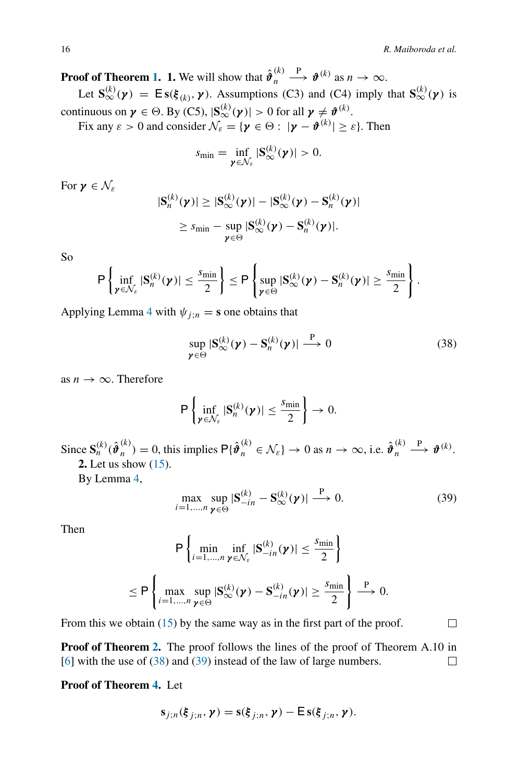口

**Proof of Theorem [1.](#page-5-0) 1.** We will show that  $\hat{\boldsymbol{\theta}}_n^{(k)} \stackrel{\text{P}}{\longrightarrow} \boldsymbol{\vartheta}^{(k)}$  as  $n \to \infty$ .

Let  $\mathbf{S}^{(k)}_{\infty}(\boldsymbol{\gamma}) = \mathbf{E}\mathbf{s}(\boldsymbol{\xi}_{(k)}, \boldsymbol{\gamma})$ . Assumptions (C3) and (C4) imply that  $\mathbf{S}^{(k)}_{\infty}(\boldsymbol{\gamma})$  is continuous on  $\boldsymbol{\gamma} \in \Theta$ . By (C5),  $|\mathbf{S}^{(k)}_{\infty}(\boldsymbol{\gamma})| > 0$  for all  $\boldsymbol{\gamma} \neq \boldsymbol{\vartheta}^{(k)}$ .

Fix any  $\varepsilon > 0$  and consider  $\mathcal{N}_{\varepsilon} = {\gamma \in \Theta : |\gamma - \theta^{(k)}| \ge \varepsilon}.$  Then

$$
s_{\min} = \inf_{\boldsymbol{\gamma} \in \mathcal{N}_{\varepsilon}} |\mathbf{S}_{\infty}^{(k)}(\boldsymbol{\gamma})| > 0.
$$

For  $\mathbf{v} \in \mathcal{N}_s$ 

$$
|S_n^{(k)}(\boldsymbol{\gamma})| \geq |S_{\infty}^{(k)}(\boldsymbol{\gamma})| - |S_{\infty}^{(k)}(\boldsymbol{\gamma}) - S_n^{(k)}(\boldsymbol{\gamma})|
$$
  

$$
\geq s_{\min} - \sup_{\boldsymbol{\gamma} \in \Theta} |S_{\infty}^{(k)}(\boldsymbol{\gamma}) - S_n^{(k)}(\boldsymbol{\gamma})|.
$$

So

$$
\mathsf{P}\left\{\inf_{\mathbf{y}\in\mathcal{N}_{\varepsilon}}|\mathbf{S}_n^{(k)}(\mathbf{y})|\leq \frac{s_{\min}}{2}\right\}\leq \mathsf{P}\left\{\sup_{\mathbf{y}\in\Theta}|\mathbf{S}_{\infty}^{(k)}(\mathbf{y})-\mathbf{S}_n^{(k)}(\mathbf{y})|\geq \frac{s_{\min}}{2}\right\}.
$$

Applying Lemma [4](#page-12-4) with  $\psi_{j,n} = \mathbf{s}$  one obtains that

<span id="page-15-0"></span>
$$
\sup_{\mathbf{\gamma}\in\Theta}|\mathbf{S}_{\infty}^{(k)}(\mathbf{\gamma})-\mathbf{S}_{n}^{(k)}(\mathbf{\gamma})|\stackrel{\mathbf{P}}{\longrightarrow}0
$$
\n(38)

as  $n \to \infty$ . Therefore

$$
\mathsf{P}\left\{\inf_{\mathbf{y}\in\mathcal{N}_{\varepsilon}}|\mathbf{S}_n^{(k)}(\mathbf{y})|\leq \frac{s_{\min}}{2}\right\}\to 0.
$$

Since  $\mathbf{S}_n^{(k)}(\hat{\boldsymbol{\vartheta}}_n^{(k)}) = 0$ , this implies  $\mathsf{P}\{\hat{\boldsymbol{\vartheta}}_n^{(k)} \in \mathcal{N}_{\varepsilon}\} \to 0$  as  $n \to \infty$ , i.e.  $\hat{\boldsymbol{\vartheta}}_n^{(k)} \xrightarrow{\mathbf{P}} \boldsymbol{\vartheta}^{(k)}$ . **2.** Let us show [\(15\)](#page-5-1).

By Lemma [4,](#page-12-4)

<span id="page-15-1"></span>
$$
\max_{i=1,\dots,n} \sup_{\mathbf{\gamma} \in \Theta} |\mathbf{S}_{-in}^{(k)} - \mathbf{S}_{\infty}^{(k)}(\mathbf{\gamma})| \stackrel{\mathbf{P}}{\longrightarrow} 0. \tag{39}
$$

Then

$$
\mathsf{P}\left\{\min_{i=1,\ldots,n}\inf_{\mathbf{y}\in\mathcal{N}_{\varepsilon}}|\mathbf{S}_{-in}^{(k)}(\mathbf{y})|\leq\frac{s_{\min}}{2}\right\}
$$
\n
$$
\leq \mathsf{P}\left\{\max_{i=1,\ldots,n}\sup_{\mathbf{y}\in\Theta}|\mathbf{S}_{\infty}^{(k)}(\mathbf{y})-\mathbf{S}_{-in}^{(k)}(\mathbf{y})|\geq\frac{s_{\min}}{2}\right\}\xrightarrow{\mathsf{P}} 0.
$$

From this we obtain  $(15)$  by the same way as in the first part of the proof.

**Proof of Theorem [2.](#page-5-2)** The proof follows the lines of the proof of Theorem A.10 in [\[6](#page-22-7)] with the use of [\(38\)](#page-15-0) and [\(39\)](#page-15-1) instead of the law of large numbers.  $\Box$ 

# **Proof of Theorem [4.](#page-7-0)** Let

$$
\mathbf{s}_{j;n}(\xi_{j;n},\boldsymbol{\gamma})=\mathbf{s}(\xi_{j;n},\boldsymbol{\gamma})-\mathsf{E}\,\mathbf{s}(\xi_{j;n},\boldsymbol{\gamma}).
$$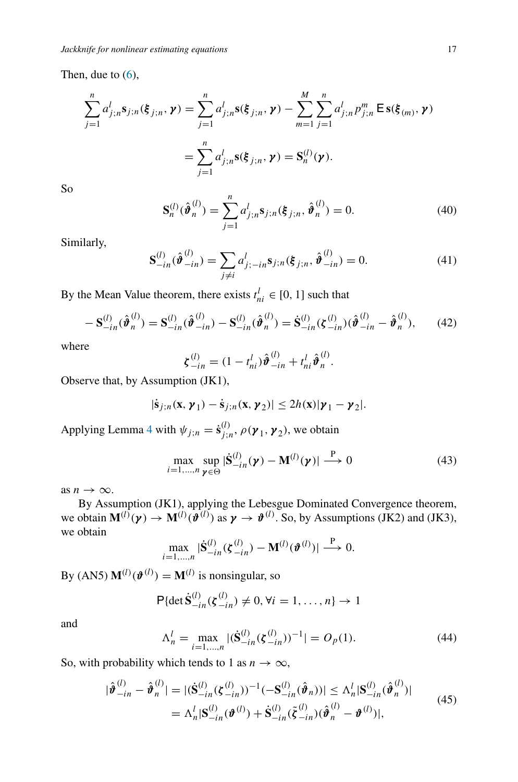Then, due to  $(6)$ ,

$$
\sum_{j=1}^{n} a_{j;n}^{l} \mathbf{s}_{j;n}(\xi_{j;n}, \gamma) = \sum_{j=1}^{n} a_{j;n}^{l} \mathbf{s}(\xi_{j;n}, \gamma) - \sum_{m=1}^{M} \sum_{j=1}^{n} a_{j;n}^{l} p_{j;n}^{m} \mathbf{E} \mathbf{s}(\xi_{(m)}, \gamma)
$$

$$
= \sum_{j=1}^{n} a_{j;n}^{l} \mathbf{s}(\xi_{j;n}, \gamma) = \mathbf{S}_{n}^{(l)}(\gamma).
$$

So

<span id="page-16-2"></span>
$$
\mathbf{S}_n^{(l)}(\hat{\boldsymbol{\vartheta}}_n^{(l)}) = \sum_{j=1}^n a_{j;n}^l \mathbf{s}_{j;n}(\xi_{j;n}, \hat{\boldsymbol{\vartheta}}_n^{(l)}) = 0.
$$
 (40)

Similarly,

$$
\mathbf{S}_{-in}^{(l)}(\hat{\boldsymbol{\vartheta}}_{-in}^{(l)}) = \sum_{j \neq i} a_{j;-in}^{l} \mathbf{s}_{j;n}(\boldsymbol{\xi}_{j;n}, \hat{\boldsymbol{\vartheta}}_{-in}^{(l)}) = 0.
$$
 (41)

By the Mean Value theorem, there exists  $t_{ni}^l \in [0, 1]$  such that

<span id="page-16-3"></span>
$$
-S_{-in}^{(l)}(\hat{\boldsymbol{\vartheta}}_n^{(l)}) = S_{-in}^{(l)}(\hat{\boldsymbol{\vartheta}}_{-in}^{(l)}) - S_{-in}^{(l)}(\hat{\boldsymbol{\vartheta}}_n^{(l)}) = \dot{S}_{-in}^{(l)}(\boldsymbol{\zeta}_{-in}^{(l)}) (\hat{\boldsymbol{\vartheta}}_{-in}^{(l)} - \hat{\boldsymbol{\vartheta}}_n^{(l)}),
$$
(42)

where

$$
\boldsymbol{\zeta}_{-in}^{(l)} = (1 - t_{ni}^l) \hat{\boldsymbol{\vartheta}}_{-in}^{(l)} + t_{ni}^l \hat{\boldsymbol{\vartheta}}_n^{(l)}.
$$

Observe that, by Assumption (JK1),

$$
|\dot{\mathbf{s}}_{j;n}(\mathbf{x},\boldsymbol{\gamma}_1)-\dot{\mathbf{s}}_{j;n}(\mathbf{x},\boldsymbol{\gamma}_2)|\leq 2h(\mathbf{x})|\boldsymbol{\gamma}_1-\boldsymbol{\gamma}_2|.
$$

Applying Lemma [4](#page-12-4) with  $\psi_{j;n} = \dot{s}_{j;n}^{(l)}$ ,  $\rho(\gamma_1, \gamma_2)$ , we obtain

<span id="page-16-0"></span>
$$
\max_{i=1,\ldots,n} \sup_{\mathbf{\gamma} \in \Theta} |\dot{\mathbf{S}}_{-in}^{(l)}(\mathbf{\gamma}) - \mathbf{M}^{(l)}(\mathbf{\gamma})| \stackrel{\mathbf{P}}{\longrightarrow} 0 \tag{43}
$$

as  $n \to \infty$ .

By Assumption (JK1), applying the Lebesgue Dominated Convergence theorem, we obtain  $\mathbf{M}^{(l)}(\boldsymbol{\gamma}) \to \mathbf{M}^{(l)}(\boldsymbol{\vartheta}^{(l)})$  as  $\boldsymbol{\gamma} \to \boldsymbol{\vartheta}^{(l)}$ . So, by Assumptions (JK2) and (JK3), we obtain

$$
\max_{i=1,\ldots,n} |\dot{\mathbf{S}}_{-in}^{(l)}(\boldsymbol{\zeta}_{-in}^{(l)}) - \mathbf{M}^{(l)}(\boldsymbol{\vartheta}^{(l)})| \overset{P}{\longrightarrow} 0.
$$

By (AN5)  $\mathbf{M}^{(l)}(\boldsymbol{\vartheta}^{(l)}) = \mathbf{M}^{(l)}$  is nonsingular, so

$$
\mathsf{P}\{\det \dot{\mathbf{S}}_{-in}^{(l)}(\xi_{-in}^{(l)})\neq 0, \forall i=1,\ldots,n\} \to 1
$$

and

<span id="page-16-1"></span>
$$
\Lambda_n^l = \max_{i=1,\dots,n} |(\dot{\mathbf{S}}_{-in}^{(l)}(\zeta_{-in}^{(l)}))^{-1}| = O_p(1). \tag{44}
$$

So, with probability which tends to 1 as  $n \to \infty$ ,

$$
|\hat{\boldsymbol{\vartheta}}_{-in}^{(l)} - \hat{\boldsymbol{\vartheta}}_{n}^{(l)}| = |(\dot{\mathbf{S}}_{-in}^{(l)}(\zeta_{-in}^{(l)}))^{-1}(-\mathbf{S}_{-in}^{(l)}(\hat{\boldsymbol{\vartheta}}_{n}))| \leq \Lambda_{n}^{l}|\mathbf{S}_{-in}^{(l)}(\hat{\boldsymbol{\vartheta}}_{n}^{(l)})|
$$
  
=  $\Lambda_{n}^{l}|\mathbf{S}_{-in}^{(l)}(\boldsymbol{\vartheta}^{(l)}) + \dot{\mathbf{S}}_{-in}^{(l)}(\tilde{\zeta}_{-in}^{(l)})(\hat{\boldsymbol{\vartheta}}_{n}^{(l)} - \boldsymbol{\vartheta}^{(l)})|,$  (45)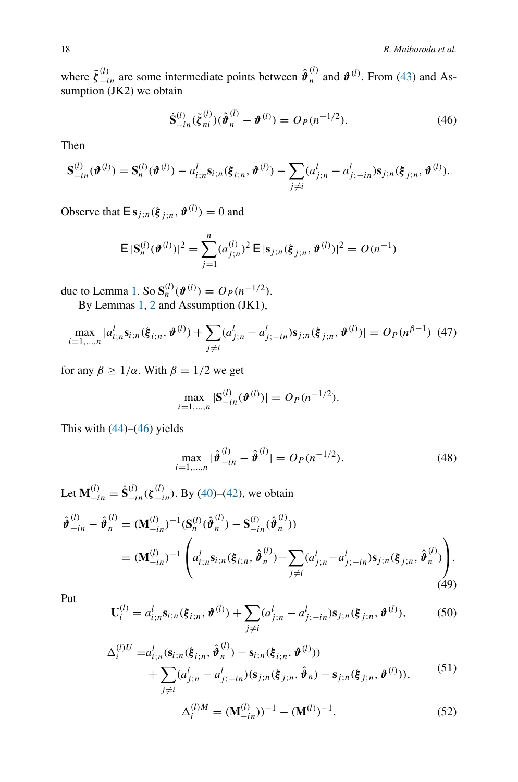where  $\tilde{\zeta}^{(l)}_{-in}$  are some intermediate points between  $\hat{\theta}^{(l)}_n$  and  $\theta^{(l)}$ . From [\(43\)](#page-16-0) and Assumption (JK2) we obtain

<span id="page-17-0"></span>
$$
\dot{\mathbf{S}}_{-in}^{(l)}(\tilde{\boldsymbol{\xi}}_{ni}^{(l)})(\hat{\boldsymbol{\vartheta}}_{n}^{(l)} - \boldsymbol{\vartheta}^{(l)}) = O_P(n^{-1/2}).
$$
\n(46)

Then

$$
\mathbf{S}_{-in}^{(l)}(\boldsymbol{\vartheta}^{(l)}) = \mathbf{S}_n^{(l)}(\boldsymbol{\vartheta}^{(l)}) - a_{i;n}^l \mathbf{s}_{i;n}(\boldsymbol{\xi}_{i;n},\boldsymbol{\vartheta}^{(l)}) - \sum_{j \neq i} (a_{j;n}^l - a_{j;-in}^l) \mathbf{s}_{j;n}(\boldsymbol{\xi}_{j;n},\boldsymbol{\vartheta}^{(l)}).
$$

Observe that  $\mathbf{E}$  **s**<sub>*j*</sub>;*n*( $\xi$ <sub>*j*;*n*</sub>,  $\boldsymbol{\vartheta}^{(l)}$ ) = 0 and

$$
\mathsf{E} \, |\mathbf{S}_n^{(l)}(\boldsymbol{\vartheta}^{(l)})|^2 = \sum_{j=1}^n (a_{j;n}^{(l)})^2 \, \mathsf{E} \, |\mathbf{s}_{j;n}(\boldsymbol{\xi}_{j;n},\boldsymbol{\vartheta}^{(l)})|^2 = O(n^{-1})
$$

due to Lemma [1.](#page-10-3) So  $S_n^{(l)}(\boldsymbol{\vartheta}^{(l)}) = O_P(n^{-1/2})$ .

By Lemmas [1,](#page-10-3) [2](#page-11-3) and Assumption (JK1),

<span id="page-17-2"></span>
$$
\max_{i=1,\dots,n} |a_{i,n}^{l} \mathbf{s}_{i,n}(\xi_{i,n}, \boldsymbol{\vartheta}^{(l)}) + \sum_{j \neq i} (a_{j,n}^{l} - a_{j;-in}^{l}) \mathbf{s}_{j,n}(\xi_{j,n}, \boldsymbol{\vartheta}^{(l)})| = O_P(n^{\beta-1}) \tag{47}
$$

for any  $\beta \geq 1/\alpha$ . With  $\beta = 1/2$  we get

$$
\max_{i=1,\dots,n} |\mathbf{S}_{-in}^{(l)}(\boldsymbol{\vartheta}^{(l)})| = O_P(n^{-1/2}).
$$

This with  $(44)$ – $(46)$  yields

$$
\max_{i=1,\dots,n} |\hat{\boldsymbol{\vartheta}}_{-in}^{(l)} - \hat{\boldsymbol{\vartheta}}^{(l)}| = O_P(n^{-1/2}).
$$
\n(48)

Let  $\mathbf{M}^{(l)}_{-in} = \dot{\mathbf{S}}^{(l)}_{-in}(\boldsymbol{\zeta}_{-in}^{(l)})$ . By [\(40\)](#page-16-2)–[\(42\)](#page-16-3), we obtain

<span id="page-17-1"></span>
$$
\hat{\boldsymbol{\vartheta}}_{-in}^{(l)} - \hat{\boldsymbol{\vartheta}}_n^{(l)} = (\mathbf{M}_{-in}^{(l)})^{-1} (\mathbf{S}_n^{(l)} (\hat{\boldsymbol{\vartheta}}_n^{(l)}) - \mathbf{S}_{-in}^{(l)} (\hat{\boldsymbol{\vartheta}}_n^{(l)}))
$$
\n
$$
= (\mathbf{M}_{-in}^{(l)})^{-1} \left( a_{i;n}^l \mathbf{s}_{i;n} (\boldsymbol{\xi}_{i;n}, \hat{\boldsymbol{\vartheta}}_n^{(l)}) - \sum_{j \neq i} (a_{j;n}^l - a_{j;-in}^l) \mathbf{s}_{j;n} (\boldsymbol{\xi}_{j;n}, \hat{\boldsymbol{\vartheta}}_n^{(l)}) \right). \tag{49}
$$

Put

$$
\mathbf{U}_{i}^{(l)} = a_{i;n}^{l} \mathbf{s}_{i;n}(\xi_{i;n}, \boldsymbol{\vartheta}^{(l)}) + \sum_{j \neq i} (a_{j;n}^{l} - a_{j;-in}^{l}) \mathbf{s}_{j;n}(\xi_{j;n}, \boldsymbol{\vartheta}^{(l)}),
$$
(50)

$$
\Delta_i^{(l)U} = a_{i;n}^l (\mathbf{s}_{i;n}(\xi_{i;n}, \hat{\boldsymbol{\vartheta}}_n^{(l)}) - \mathbf{s}_{i;n}(\xi_{i;n}, \boldsymbol{\vartheta}^{(l)})) \n+ \sum_{j \neq i} (a_{j;n}^l - a_{j;-in}^l) (\mathbf{s}_{j;n}(\xi_{j;n}, \hat{\boldsymbol{\vartheta}}_n) - \mathbf{s}_{j;n}(\xi_{j;n}, \boldsymbol{\vartheta}^{(l)})),
$$
\n(51)

$$
\Delta_i^{(l)M} = (\mathbf{M}_{-in}^{(l)})^{-1} - (\mathbf{M}^{(l)})^{-1}.
$$
 (52)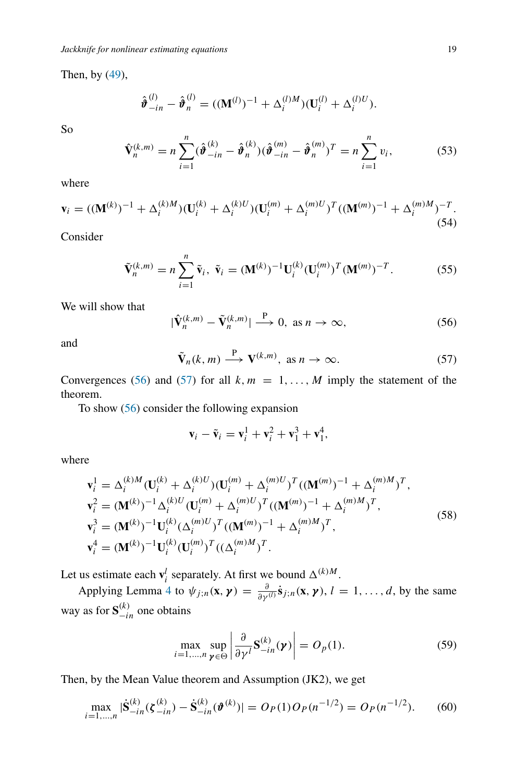Then, by [\(49\)](#page-17-1),

$$
\hat{\boldsymbol{\vartheta}}_{-in}^{(l)} - \hat{\boldsymbol{\vartheta}}_n^{(l)} = ((\mathbf{M}^{(l)})^{-1} + \Delta_i^{(l)M})(\mathbf{U}_i^{(l)} + \Delta_i^{(l)U}).
$$

So

$$
\hat{\mathbf{V}}_{n}^{(k,m)} = n \sum_{i=1}^{n} (\hat{\boldsymbol{\vartheta}}_{-in}^{(k)} - \hat{\boldsymbol{\vartheta}}_{n}^{(k)}) (\hat{\boldsymbol{\vartheta}}_{-in}^{(m)} - \hat{\boldsymbol{\vartheta}}_{n}^{(m)})^{T} = n \sum_{i=1}^{n} v_{i},
$$
\n(53)

where

$$
\mathbf{v}_{i} = ((\mathbf{M}^{(k)})^{-1} + \Delta_{i}^{(k)M})(\mathbf{U}_{i}^{(k)} + \Delta_{i}^{(k)U})(\mathbf{U}_{i}^{(m)} + \Delta_{i}^{(m)U})^{T}((\mathbf{M}^{(m)})^{-1} + \Delta_{i}^{(m)M})^{-T}.
$$
\n(54)

Consider

$$
\tilde{\mathbf{V}}_n^{(k,m)} = n \sum_{i=1}^n \tilde{\mathbf{v}}_i, \ \tilde{\mathbf{v}}_i = (\mathbf{M}^{(k)})^{-1} \mathbf{U}_i^{(k)} (\mathbf{U}_i^{(m)})^T (\mathbf{M}^{(m)})^{-T}.
$$
 (55)

We will show that

<span id="page-18-0"></span>
$$
|\hat{\mathbf{V}}_n^{(k,m)} - \tilde{\mathbf{V}}_n^{(k,m)}| \xrightarrow{\mathbf{P}} 0, \text{ as } n \to \infty,
$$
 (56)

and

<span id="page-18-1"></span>
$$
\tilde{\mathbf{V}}_n(k,m) \stackrel{\mathbf{P}}{\longrightarrow} \mathbf{V}^{(k,m)}, \text{ as } n \to \infty.
$$
 (57)

Convergences [\(56\)](#page-18-0) and [\(57\)](#page-18-1) for all  $k, m = 1, \ldots, M$  imply the statement of the theorem.

To show [\(56\)](#page-18-0) consider the following expansion

$$
\mathbf{v}_i - \tilde{\mathbf{v}}_i = \mathbf{v}_i^1 + \mathbf{v}_i^2 + \mathbf{v}_1^3 + \mathbf{v}_1^4,
$$

where

<span id="page-18-3"></span>
$$
\mathbf{v}_{i}^{1} = \Delta_{i}^{(k)M}(\mathbf{U}_{i}^{(k)} + \Delta_{i}^{(k)U})(\mathbf{U}_{i}^{(m)} + \Delta_{i}^{(m)U})^{T}((\mathbf{M}^{(m)})^{-1} + \Delta_{i}^{(m)M})^{T},
$$
\n
$$
\mathbf{v}_{i}^{2} = (\mathbf{M}^{(k)})^{-1} \Delta_{i}^{(k)U}(\mathbf{U}_{i}^{(m)} + \Delta_{i}^{(m)U})^{T}((\mathbf{M}^{(m)})^{-1} + \Delta_{i}^{(m)M})^{T},
$$
\n
$$
\mathbf{v}_{i}^{3} = (\mathbf{M}^{(k)})^{-1} \mathbf{U}_{i}^{(k)}(\Delta_{i}^{(m)U})^{T}((\mathbf{M}^{(m)})^{-1} + \Delta_{i}^{(m)M})^{T},
$$
\n
$$
\mathbf{v}_{i}^{4} = (\mathbf{M}^{(k)})^{-1} \mathbf{U}_{i}^{(k)}(\mathbf{U}_{i}^{(m)})^{T}((\Delta_{i}^{(m)M})^{T}).
$$
\n(58)

Let us estimate each  $\mathbf{v}_i^l$  separately. At first we bound  $\Delta^{(k)M}$ .

Applying Lemma [4](#page-12-4) to  $\psi_{j,n}(\mathbf{x}, \mathbf{y}) = \frac{\partial}{\partial \gamma^{(l)}} \dot{\mathbf{s}}_{j,n}(\mathbf{x}, \mathbf{y}), l = 1, \dots, d$ , by the same way as for  $S_{-in}^{(k)}$  one obtains

$$
\max_{i=1,\dots,n} \sup_{\mathbf{\mathcal{V}} \in \Theta} \left| \frac{\partial}{\partial \gamma^l} \mathbf{S}_{-in}^{(k)}(\mathbf{\mathcal{V}}) \right| = O_p(1). \tag{59}
$$

Then, by the Mean Value theorem and Assumption (JK2), we get

<span id="page-18-2"></span>
$$
\max_{i=1,\dots,n} |\dot{\mathbf{S}}_{-in}^{(k)}(\zeta_{-in}^{(k)}) - \dot{\mathbf{S}}_{-in}^{(k)}(\boldsymbol{\vartheta}^{(k)})| = O_P(1)O_P(n^{-1/2}) = O_P(n^{-1/2}).\tag{60}
$$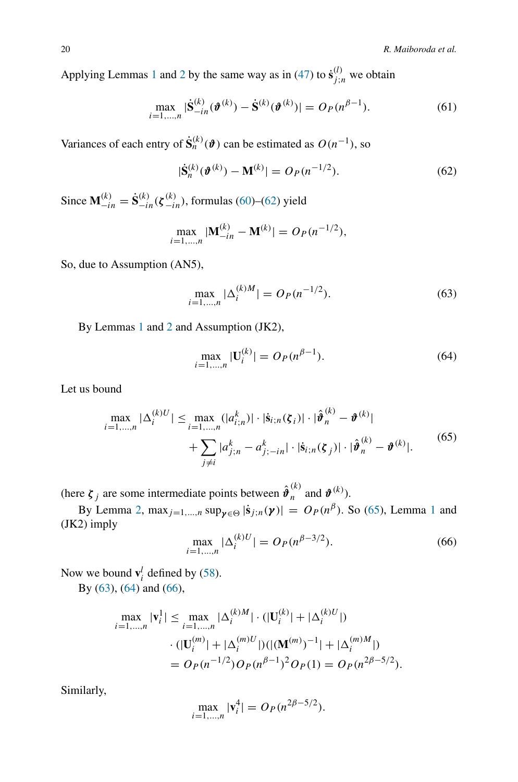Applying Lemmas [1](#page-10-3) and [2](#page-11-3) by the same way as in [\(47\)](#page-17-2) to  $\dot{s}_{j;n}^{(l)}$  we obtain

$$
\max_{i=1,\dots,n} |\dot{\mathbf{S}}_{-in}^{(k)}(\boldsymbol{\vartheta}^{(k)}) - \dot{\mathbf{S}}^{(k)}(\boldsymbol{\vartheta}^{(k)})| = O_P(n^{\beta-1}).
$$
\n(61)

Variances of each entry of  $\dot{\mathbf{S}}_n^{(k)}(\boldsymbol{\vartheta})$  can be estimated as  $O(n^{-1})$ , so

<span id="page-19-0"></span>
$$
|\dot{\mathbf{S}}_{n}^{(k)}(\boldsymbol{\vartheta}^{(k)}) - \mathbf{M}^{(k)}| = O_P(n^{-1/2}).
$$
\n(62)

Since  $\mathbf{M}_{-in}^{(k)} = \dot{\mathbf{S}}_{-in}^{(k)}(\xi_{-in}^{(k)})$ , formulas [\(60\)](#page-18-2)–[\(62\)](#page-19-0) yield

$$
\max_{i=1,\dots,n} |\mathbf{M}_{-in}^{(k)} - \mathbf{M}^{(k)}| = O_P(n^{-1/2}),
$$

So, due to Assumption (AN5),

<span id="page-19-2"></span>
$$
\max_{i=1,\dots,n} |\Delta_i^{(k)M}| = O_P(n^{-1/2}).
$$
\n(63)

By Lemmas [1](#page-10-3) and [2](#page-11-3) and Assumption (JK2),

<span id="page-19-3"></span>
$$
\max_{i=1,\dots,n} |\mathbf{U}_i^{(k)}| = O_P(n^{\beta - 1}).\tag{64}
$$

Let us bound

<span id="page-19-1"></span>
$$
\max_{i=1,\dots,n} |\Delta_i^{(k)U}| \le \max_{i=1,\dots,n} (|a_{i;n}^k)| \cdot |\dot{\mathbf{s}}_{i;n}(\boldsymbol{\zeta}_i)| \cdot |\hat{\boldsymbol{\vartheta}}_n^{(k)} - \boldsymbol{\vartheta}^{(k)}| + \sum_{j \neq i} |a_{j;n}^k - a_{j;-in}^k| \cdot |\dot{\mathbf{s}}_{i;n}(\boldsymbol{\zeta}_j)| \cdot |\hat{\boldsymbol{\vartheta}}_n^{(k)} - \boldsymbol{\vartheta}^{(k)}|.
$$
(65)

(here  $\zeta_j$  are some intermediate points between  $\hat{\boldsymbol{\theta}}_n^{(k)}$  and  $\boldsymbol{\vartheta}^{(k)}$ ).

By Lemma [2,](#page-11-3) max<sub>*j*=[1](#page-10-3),...,*n*</sub> sup<sub>*γ* ∈  $|\dot{s}_{j;n}(\gamma)| = O_P(n^{\beta})$ . So [\(65\)](#page-19-1), Lemma 1 and</sub> (JK2) imply

<span id="page-19-4"></span>
$$
\max_{i=1,\dots,n} |\Delta_i^{(k)U}| = O_P(n^{\beta - 3/2}).
$$
\n(66)

Now we bound  $\mathbf{v}_i^l$  defined by [\(58\)](#page-18-3).

By [\(63\)](#page-19-2), [\(64\)](#page-19-3) and [\(66\)](#page-19-4),

$$
\max_{i=1,\dots,n} |\mathbf{v}_i^1| \le \max_{i=1,\dots,n} |\Delta_i^{(k)M}| \cdot (|\mathbf{U}_i^{(k)}| + |\Delta_i^{(k)U}|)
$$
  
 
$$
\cdot (|\mathbf{U}_i^{(m)}| + |\Delta_i^{(m)U}|) (|\mathbf{M}^{(m)})^{-1}| + |\Delta_i^{(m)M}|)
$$
  
=  $O_P(n^{-1/2})O_P(n^{\beta-1})^2O_P(1) = O_P(n^{2\beta-5/2}).$ 

Similarly,

$$
\max_{i=1,\dots,n} |\mathbf{v}_i^4| = O_P(n^{2\beta - 5/2}).
$$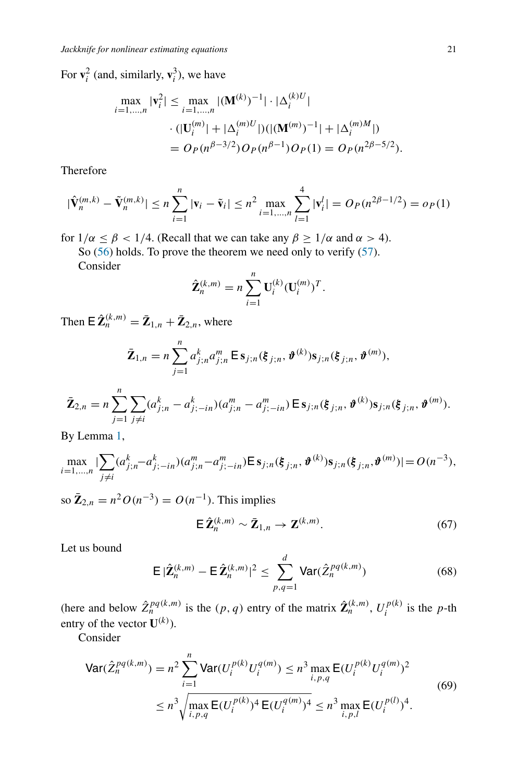For  $\mathbf{v}_i^2$  (and, similarly,  $\mathbf{v}_i^3$ ), we have

$$
\max_{i=1,\dots,n} |\mathbf{v}_i^2| \le \max_{i=1,\dots,n} |(\mathbf{M}^{(k)})^{-1}| \cdot |\Delta_i^{(k)U}|
$$
  
 
$$
\cdot (|\mathbf{U}_i^{(m)}| + |\Delta_i^{(m)U}|) (|\mathbf{M}^{(m)})^{-1}| + |\Delta_i^{(m)M}|)
$$
  
=  $O_P(n^{\beta-3/2}) O_P(n^{\beta-1}) O_P(1) = O_P(n^{2\beta-5/2}).$ 

Therefore

$$
|\hat{\mathbf{V}}_n^{(m,k)} - \tilde{\mathbf{V}}_n^{(m,k)}| \le n \sum_{i=1}^n |\mathbf{v}_i - \tilde{\mathbf{v}}_i| \le n^2 \max_{i=1,\dots,n} \sum_{l=1}^4 |\mathbf{v}_i^l| = O_P(n^{2\beta - 1/2}) = o_P(1)
$$

for  $1/\alpha \leq \beta < 1/4$ . (Recall that we can take any  $\beta \geq 1/\alpha$  and  $\alpha > 4$ ).

So [\(56\)](#page-18-0) holds. To prove the theorem we need only to verify [\(57\)](#page-18-1).

Consider

$$
\hat{\mathbf{Z}}_n^{(k,m)} = n \sum_{i=1}^n \mathbf{U}_i^{(k)} (\mathbf{U}_i^{(m)})^T.
$$

Then  $\mathbf{E}\,\hat{\mathbf{Z}}_n^{(k,m)} = \bar{\mathbf{Z}}_{1,n} + \bar{\mathbf{Z}}_{2,n}$ , where

$$
\bar{\mathbf{Z}}_{1,n} = n \sum_{j=1}^{n} a_{j;n}^{k} a_{j;n}^{m} \mathbf{E} \, \mathbf{s}_{j;n}(\xi_{j;n}, \boldsymbol{\vartheta}^{(k)}) \mathbf{s}_{j;n}(\xi_{j;n}, \boldsymbol{\vartheta}^{(m)}),
$$

$$
\bar{\mathbf{Z}}_{2,n}=n\sum_{j=1}^n\sum_{j\neq i}(a_{j;n}^k-a_{j;-in}^k)(a_{j;n}^m-a_{j;-in}^m)\,\mathsf{E}\,\mathbf{s}_{j;n}(\xi_{j;n},\boldsymbol{\vartheta}^{(k)})\mathbf{s}_{j;n}(\xi_{j;n},\boldsymbol{\vartheta}^{(m)}).
$$

By Lemma [1,](#page-10-3)

$$
\max_{i=1,\dots,n} |\sum_{j\neq i} (a_{j;n}^k - a_{j;-in}^k)(a_{j;n}^m - a_{j;-in}^m) \mathsf{E} \, \mathbf{s}_{j;n}(\xi_{j;n}, \boldsymbol{\vartheta}^{(k)}) \mathbf{s}_{j;n}(\xi_{j;n}, \boldsymbol{\vartheta}^{(m)})| = O(n^{-3}),
$$

so  $\bar{Z}_{2,n} = n^2 O(n^{-3}) = O(n^{-1})$ . This implies

<span id="page-20-2"></span>
$$
\mathsf{E}\,\hat{\mathbf{Z}}_n^{(k,m)}\sim\bar{\mathbf{Z}}_{1,n}\to\mathbf{Z}^{(k,m)}.\tag{67}
$$

Let us bound

<span id="page-20-1"></span>
$$
\mathsf{E}\,|\widehat{\mathbf{Z}}_n^{(k,m)} - \mathsf{E}\,\widehat{\mathbf{Z}}_n^{(k,m)}|^2 \le \sum_{p,q=1}^d \mathsf{Var}(\widehat{\mathbf{Z}}_n^{pq(k,m)})\tag{68}
$$

(here and below  $\hat{Z}_n^{pq(k,m)}$  is the  $(p, q)$  entry of the matrix  $\hat{\mathbf{Z}}_n^{(k,m)}$ ,  $U_i^{p(k)}$  is the *p*-th entry of the vector  $\mathbf{U}^{(k)}$ ).

Consider

<span id="page-20-0"></span>
$$
\begin{split} \text{Var}(\hat{Z}_{n}^{pq(k,m)}) &= n^{2} \sum_{i=1}^{n} \text{Var}(U_{i}^{p(k)} U_{i}^{q(m)}) \leq n^{3} \max_{i,p,q} \mathsf{E}(U_{i}^{p(k)} U_{i}^{q(m)})^{2} \\ &\leq n^{3} \sqrt{\max_{i,p,q} \mathsf{E}(U_{i}^{p(k)})^{4} \mathsf{E}(U_{i}^{q(m)})^{4}} \leq n^{3} \max_{i,p,l} \mathsf{E}(U_{i}^{p(l)})^{4} . \end{split} \tag{69}
$$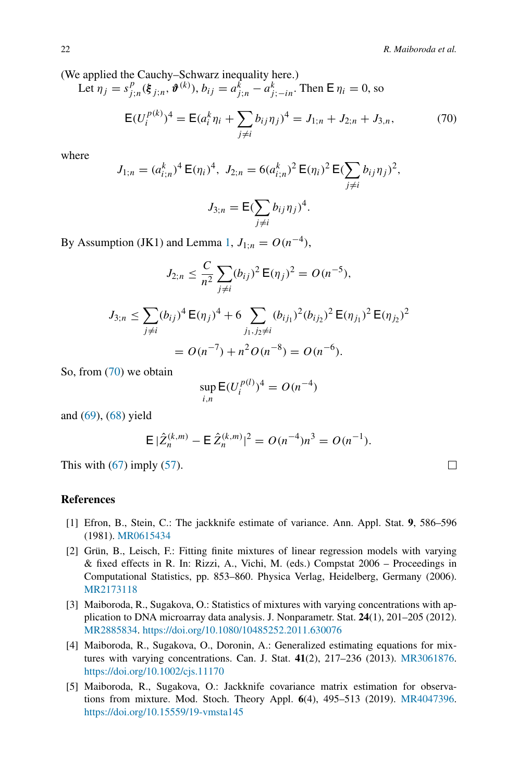(We applied the Cauchy–Schwarz inequality here.)

Let 
$$
\eta_j = s_{j;n}^p(\xi_{j;n}, \boldsymbol{\vartheta}^{(k)}), b_{ij} = a_{j;n}^k - a_{j;-in}^k
$$
. Then  $E \eta_i = 0$ , so  
\n
$$
E(U_i^{p(k)})^4 = E(a_i^k \eta_i + \sum_{j \neq i} b_{ij} \eta_j)^4 = J_{1;n} + J_{2;n} + J_{3,n},
$$
\n(70)

where

<span id="page-21-5"></span>
$$
J_{1;n} = (a_{i;n}^k)^4 \mathsf{E}(\eta_i)^4, \ J_{2;n} = 6(a_{i;n}^k)^2 \mathsf{E}(\eta_i)^2 \mathsf{E}(\sum_{j \neq i} b_{ij} \eta_j)^2,
$$

$$
J_{3;n} = \mathsf{E}(\sum_{j \neq i} b_{ij} \eta_j)^4.
$$

By Assumption (JK1) and Lemma [1,](#page-10-3)  $J_{1:n} = O(n^{-4})$ ,

$$
J_{2;n} \leq \frac{C}{n^2} \sum_{j \neq i} (b_{ij})^2 \mathsf{E}(\eta_j)^2 = O(n^{-5}),
$$

$$
J_{3;n} \le \sum_{j \ne i} (b_{ij})^4 \mathsf{E}(\eta_j)^4 + 6 \sum_{j_1, j_2 \ne i} (b_{ij_1})^2 (b_{ij_2})^2 \mathsf{E}(\eta_{j_1})^2 \mathsf{E}(\eta_{j_2})^2
$$
  
=  $O(n^{-7}) + n^2 O(n^{-8}) = O(n^{-6}).$ 

So, from [\(70\)](#page-21-5) we obtain

$$
\sup_{i,n} \mathsf{E}(U_i^{p(l)})^4 = O(n^{-4})
$$

and [\(69\)](#page-20-0), [\(68\)](#page-20-1) yield

$$
\mathsf{E} |\hat{Z}_n^{(k,m)} - \mathsf{E} \, \hat{Z}_n^{(k,m)}|^2 = O(n^{-4}) n^3 = O(n^{-1}).
$$

This with  $(67)$  imply  $(57)$ .

#### **References**

- <span id="page-21-0"></span>[1] Efron, B., Stein, C.: The jackknife estimate of variance. Ann. Appl. Stat. **9**, 586–596 (1981). [MR0615434](http://www.ams.org/mathscinet-getitem?mr=0615434)
- <span id="page-21-1"></span>[2] Grün, B., Leisch, F.: Fitting finite mixtures of linear regression models with varying & fixed effects in R. In: Rizzi, A., Vichi, M. (eds.) Compstat 2006 – Proceedings in Computational Statistics, pp. 853–860. Physica Verlag, Heidelberg, Germany (2006). [MR2173118](http://www.ams.org/mathscinet-getitem?mr=2173118)
- <span id="page-21-2"></span>[3] Maiboroda, R., Sugakova, O.: Statistics of mixtures with varying concentrations with application to DNA microarray data analysis. J. Nonparametr. Stat. **24**(1), 201–205 (2012). [MR2885834.](http://www.ams.org/mathscinet-getitem?mr=2885834) <https://doi.org/10.1080/10485252.2011.630076>
- <span id="page-21-4"></span>[4] Maiboroda, R., Sugakova, O., Doronin, A.: Generalized estimating equations for mixtures with varying concentrations. Can. J. Stat. **41**(2), 217–236 (2013). [MR3061876.](http://www.ams.org/mathscinet-getitem?mr=3061876) <https://doi.org/10.1002/cjs.11170>
- <span id="page-21-3"></span>[5] Maiboroda, R., Sugakova, O.: Jackknife covariance matrix estimation for observations from mixture. Mod. Stoch. Theory Appl. **6**(4), 495–513 (2019). [MR4047396.](http://www.ams.org/mathscinet-getitem?mr=4047396) <https://doi.org/10.15559/19-vmsta145>

 $\Box$